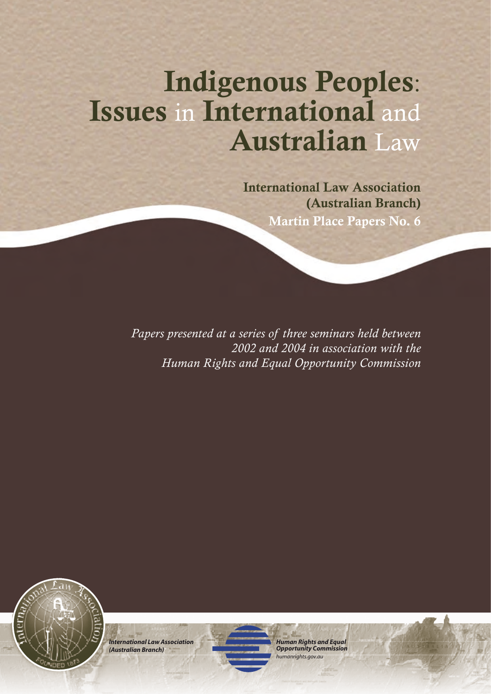# Indigenous Peoples: Issues in International and Australian Law

International Law Association (Australian Branch) Martin Place Papers No. 6

*Papers presented at a series of three seminars held between 2002 and 2004 in association with the Human Rights and Equal Opportunity Commission* 



*International Law Association (Australian Branch)*

*Human Rights and Equal Opportunity Commission humanrights.gov.au*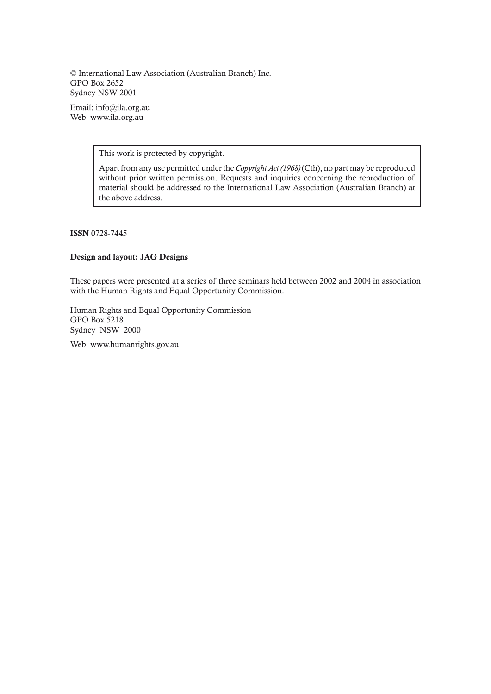© International Law Association (Australian Branch) Inc. GPO Box 2652 Sydney NSW 2001

Email: info@ila.org.au Web: www.ila.org.au

This work is protected by copyright.

Apart from any use permitted under the *Copyright Act (1968)* (Cth), no part may be reproduced without prior written permission. Requests and inquiries concerning the reproduction of material should be addressed to the International Law Association (Australian Branch) at the above address.

ISSN 0728-7445

## Design and layout: JAG Designs

These papers were presented at a series of three seminars held between 2002 and 2004 in association with the Human Rights and Equal Opportunity Commission.

Human Rights and Equal Opportunity Commission GPO Box 5218 Sydney NSW 2000

Web: www.humanrights.gov.au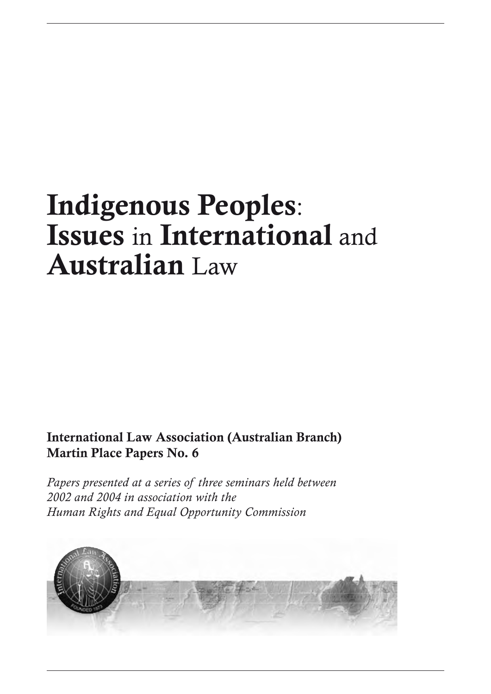# Indigenous Peoples: Issues in International and Australian Law

## International Law Association (Australian Branch) Martin Place Papers No. 6

*Papers presented at a series of three seminars held between 2002 and 2004 in association with the Human Rights and Equal Opportunity Commission*

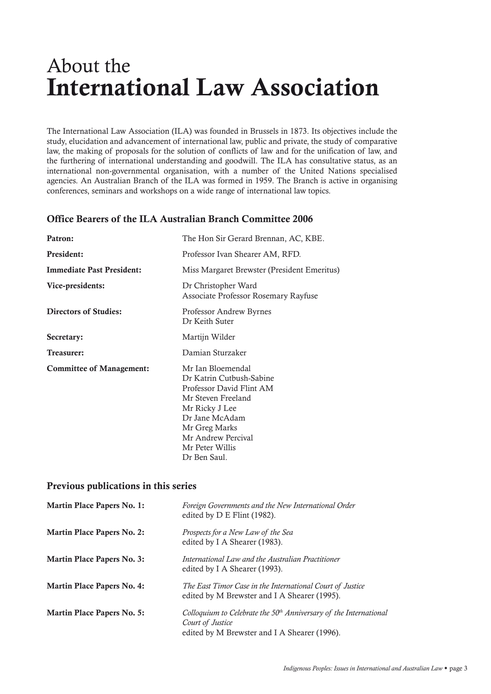## About the International Law Association

The International Law Association (ILA) was founded in Brussels in 1873. Its objectives include the study, elucidation and advancement of international law, public and private, the study of comparative law, the making of proposals for the solution of conflicts of law and for the unification of law, and the furthering of international understanding and goodwill. The ILA has consultative status, as an international non-governmental organisation, with a number of the United Nations specialised agencies. An Australian Branch of the ILA was formed in 1959. The Branch is active in organising conferences, seminars and workshops on a wide range of international law topics.

## Office Bearers of the ILA Australian Branch Committee 2006

| Patron:                          | The Hon Sir Gerard Brennan, AC, KBE.                                                                                                                                                                          |
|----------------------------------|---------------------------------------------------------------------------------------------------------------------------------------------------------------------------------------------------------------|
| <b>President:</b>                | Professor Ivan Shearer AM, RFD.                                                                                                                                                                               |
| <b>Immediate Past President:</b> | Miss Margaret Brewster (President Emeritus)                                                                                                                                                                   |
| Vice-presidents:                 | Dr Christopher Ward<br>Associate Professor Rosemary Rayfuse                                                                                                                                                   |
| <b>Directors of Studies:</b>     | Professor Andrew Byrnes<br>Dr Keith Suter                                                                                                                                                                     |
| Secretary:                       | Martijn Wilder                                                                                                                                                                                                |
| Treasurer:                       | Damian Sturzaker                                                                                                                                                                                              |
| <b>Committee of Management:</b>  | Mr Jan Bloemendal<br>Dr Katrin Cutbush-Sabine<br>Professor David Flint AM<br>Mr Steven Freeland<br>Mr Ricky J Lee<br>Dr Jane McAdam<br>Mr Greg Marks<br>Mr Andrew Percival<br>Mr Peter Willis<br>Dr Ben Saul. |

## Previous publications in this series

| <b>Martin Place Papers No. 1:</b> | Foreign Governments and the New International Order<br>edited by $D \to$ Flint (1982).                                                  |
|-----------------------------------|-----------------------------------------------------------------------------------------------------------------------------------------|
| <b>Martin Place Papers No. 2:</b> | Prospects for a New Law of the Sea<br>edited by I A Shearer (1983).                                                                     |
| <b>Martin Place Papers No. 3:</b> | International Law and the Australian Practitioner<br>edited by I A Shearer (1993).                                                      |
| <b>Martin Place Papers No. 4:</b> | The East Timor Case in the International Court of Justice<br>edited by M Brewster and I A Shearer (1995).                               |
| <b>Martin Place Papers No. 5:</b> | Colloquium to Celebrate the $50th$ Anniversary of the International<br>Court of Justice<br>edited by M Brewster and I A Shearer (1996). |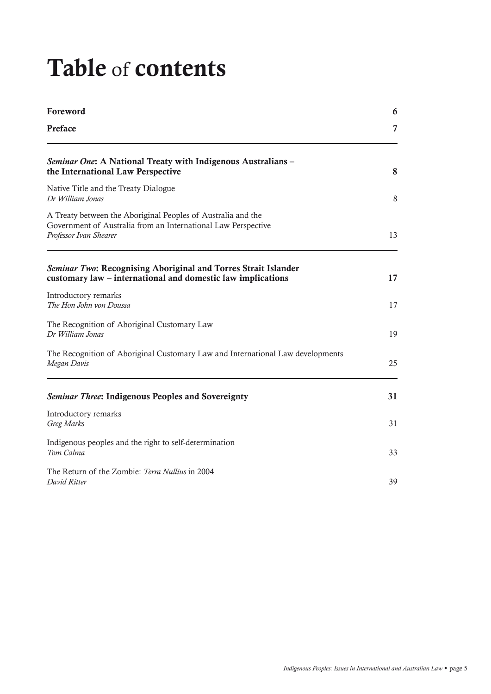# Table of contents

| Foreword                                                                                                                                                |    |
|---------------------------------------------------------------------------------------------------------------------------------------------------------|----|
| Preface                                                                                                                                                 | 7  |
| Seminar One: A National Treaty with Indigenous Australians –<br>the International Law Perspective                                                       | 8  |
| Native Title and the Treaty Dialogue<br>Dr William Jonas                                                                                                | 8  |
| A Treaty between the Aboriginal Peoples of Australia and the<br>Government of Australia from an International Law Perspective<br>Professor Ivan Shearer |    |
| Seminar Two: Recognising Aboriginal and Torres Strait Islander<br>customary law – international and domestic law implications                           | 17 |
| Introductory remarks<br>The Hon John von Doussa                                                                                                         | 17 |
| The Recognition of Aboriginal Customary Law<br>Dr William Jonas                                                                                         | 19 |
| The Recognition of Aboriginal Customary Law and International Law developments<br>Megan Davis                                                           |    |
| Seminar Three: Indigenous Peoples and Sovereignty                                                                                                       | 31 |
| Introductory remarks<br>Greg Marks                                                                                                                      | 31 |
| Indigenous peoples and the right to self-determination<br>Tom Calma                                                                                     | 33 |
| The Return of the Zombie: Terra Nullius in 2004<br>David Ritter                                                                                         | 39 |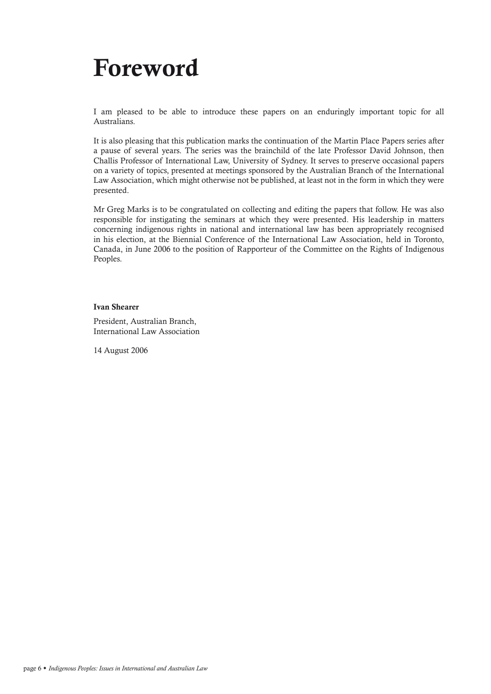# Foreword

I am pleased to be able to introduce these papers on an enduringly important topic for all Australians.

It is also pleasing that this publication marks the continuation of the Martin Place Papers series after a pause of several years. The series was the brainchild of the late Professor David Johnson, then Challis Professor of International Law, University of Sydney. It serves to preserve occasional papers on a variety of topics, presented at meetings sponsored by the Australian Branch of the International Law Association, which might otherwise not be published, at least not in the form in which they were presented.

Mr Greg Marks is to be congratulated on collecting and editing the papers that follow. He was also responsible for instigating the seminars at which they were presented. His leadership in matters concerning indigenous rights in national and international law has been appropriately recognised in his election, at the Biennial Conference of the International Law Association, held in Toronto, Canada, in June 2006 to the position of Rapporteur of the Committee on the Rights of Indigenous Peoples.

## Ivan Shearer

President, Australian Branch, International Law Association

14 August 2006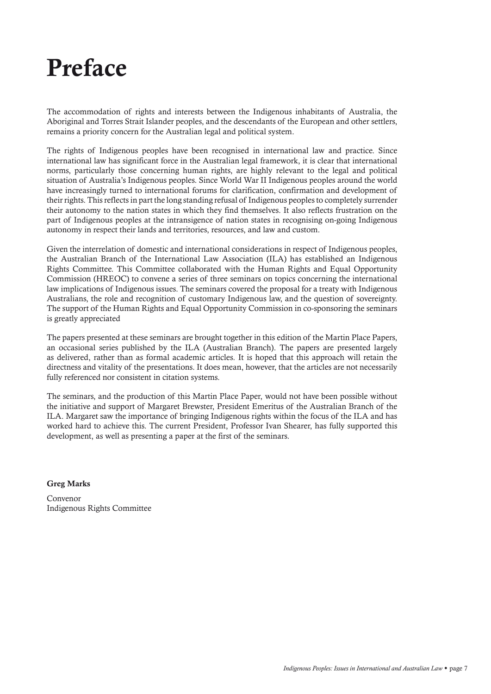## Preface

The accommodation of rights and interests between the Indigenous inhabitants of Australia, the Aboriginal and Torres Strait Islander peoples, and the descendants of the European and other settlers, remains a priority concern for the Australian legal and political system.

The rights of Indigenous peoples have been recognised in international law and practice. Since international law has significant force in the Australian legal framework, it is clear that international norms, particularly those concerning human rights, are highly relevant to the legal and political situation of Australia's Indigenous peoples. Since World War II Indigenous peoples around the world have increasingly turned to international forums for clarification, confirmation and development of their rights. This reflects in part the long standing refusal of Indigenous peoples to completely surrender their autonomy to the nation states in which they find themselves. It also reflects frustration on the part of Indigenous peoples at the intransigence of nation states in recognising on-going Indigenous autonomy in respect their lands and territories, resources, and law and custom.

Given the interrelation of domestic and international considerations in respect of Indigenous peoples, the Australian Branch of the International Law Association (ILA) has established an Indigenous Rights Committee. This Committee collaborated with the Human Rights and Equal Opportunity Commission (HREOC) to convene a series of three seminars on topics concerning the international law implications of Indigenous issues. The seminars covered the proposal for a treaty with Indigenous Australians, the role and recognition of customary Indigenous law, and the question of sovereignty. The support of the Human Rights and Equal Opportunity Commission in co-sponsoring the seminars is greatly appreciated

The papers presented at these seminars are brought together in this edition of the Martin Place Papers, an occasional series published by the ILA (Australian Branch). The papers are presented largely as delivered, rather than as formal academic articles. It is hoped that this approach will retain the directness and vitality of the presentations. It does mean, however, that the articles are not necessarily fully referenced nor consistent in citation systems.

The seminars, and the production of this Martin Place Paper, would not have been possible without the initiative and support of Margaret Brewster, President Emeritus of the Australian Branch of the ILA. Margaret saw the importance of bringing Indigenous rights within the focus of the ILA and has worked hard to achieve this. The current President, Professor Ivan Shearer, has fully supported this development, as well as presenting a paper at the first of the seminars.

## Greg Marks

Convenor Indigenous Rights Committee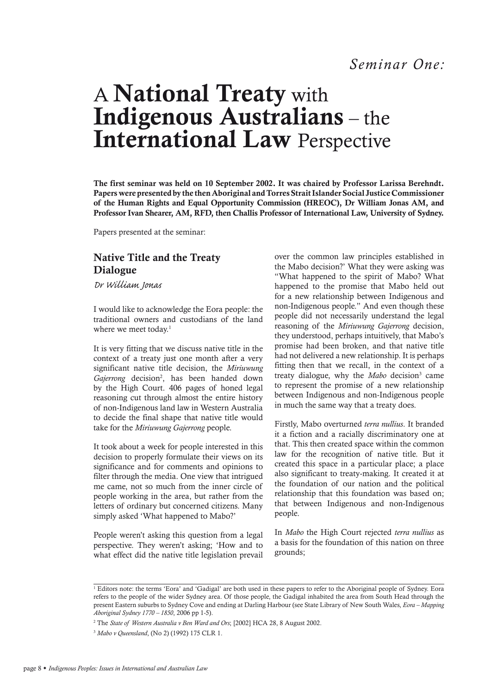## A National Treaty with Indigenous Australians – the International Law Perspective

The first seminar was held on 10 September 2002. It was chaired by Professor Larissa Berehndt. Papers were presented by the then Aboriginal and Torres Strait Islander Social Justice Commissioner of the Human Rights and Equal Opportunity Commission (HREOC), Dr William Jonas AM, and Professor Ivan Shearer, AM, RFD, then Challis Professor of International Law, University of Sydney.

Papers presented at the seminar:

## Native Title and the Treaty Dialogue

*Dr William Jonas*

I would like to acknowledge the Eora people: the traditional owners and custodians of the land where we meet today.<sup>1</sup>

It is very fitting that we discuss native title in the context of a treaty just one month after a very significant native title decision, the *Miriuwung*  Gajerrong decision<sup>2</sup>, has been handed down by the High Court. 406 pages of honed legal reasoning cut through almost the entire history of non-Indigenous land law in Western Australia to decide the final shape that native title would take for the *Miriuwung Gajerrong* people.

It took about a week for people interested in this decision to properly formulate their views on its significance and for comments and opinions to filter through the media. One view that intrigued me came, not so much from the inner circle of people working in the area, but rather from the letters of ordinary but concerned citizens. Many simply asked 'What happened to Mabo?'

People weren't asking this question from a legal perspective. They weren't asking; 'How and to what effect did the native title legislation prevail

over the common law principles established in the Mabo decision?' What they were asking was "What happened to the spirit of Mabo? What happened to the promise that Mabo held out for a new relationship between Indigenous and non-Indigenous people." And even though these people did not necessarily understand the legal reasoning of the *Miriuwung Gajerrong* decision, they understood, perhaps intuitively, that Mabo's promise had been broken, and that native title had not delivered a new relationship. It is perhaps fitting then that we recall, in the context of a treaty dialogue, why the Mabo decision<sup>3</sup> came to represent the promise of a new relationship between Indigenous and non-Indigenous people in much the same way that a treaty does.

Firstly, Mabo overturned *terra nullius*. It branded it a fiction and a racially discriminatory one at that. This then created space within the common law for the recognition of native title. But it created this space in a particular place; a place also significant to treaty-making. It created it at the foundation of our nation and the political relationship that this foundation was based on; that between Indigenous and non-Indigenous people.

In *Mabo* the High Court rejected *terra nullius* as a basis for the foundation of this nation on three grounds;

<sup>1</sup> Editors note: the terms 'Eora' and 'Gadigal' are both used in these papers to refer to the Aboriginal people of Sydney. Eora refers to the people of the wider Sydney area. Of those people, the Gadigal inhabited the area from South Head through the present Eastern suburbs to Sydney Cove and ending at Darling Harbour (see State Library of New South Wales, *Eora – Mapping Aboriginal Sydney 1770 – 1850*, 2006 pp 1-5).

<sup>2</sup> The *State of Western Australia v Ben Ward and Ors*; [2002] HCA 28, 8 August 2002.

<sup>3</sup> *Mabo v Queensland*, (No 2) (1992) 175 CLR 1.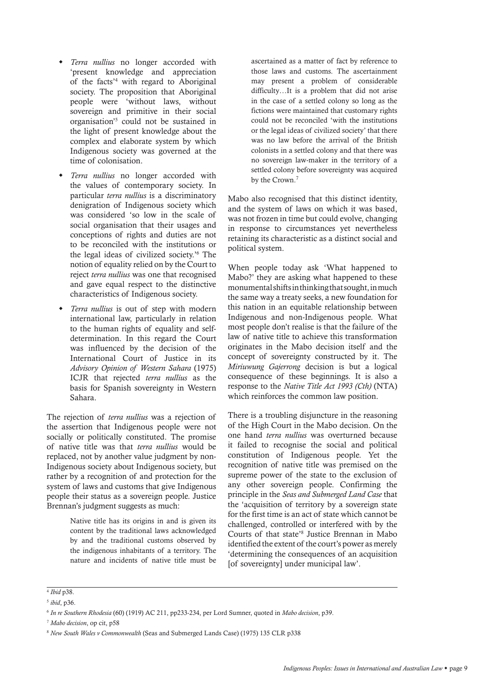- *Terra nullius* no longer accorded with 'present knowledge and appreciation of the facts'4 with regard to Aboriginal society. The proposition that Aboriginal people were 'without laws, without sovereign and primitive in their social organisation'5 could not be sustained in the light of present knowledge about the complex and elaborate system by which Indigenous society was governed at the time of colonisation.
- Terra nullius no longer accorded with the values of contemporary society. In particular *terra nullius* is a discriminatory denigration of Indigenous society which was considered 'so low in the scale of social organisation that their usages and conceptions of rights and duties are not to be reconciled with the institutions or the legal ideas of civilized society.'6 The notion of equality relied on by the Court to reject *terra nullius* was one that recognised and gave equal respect to the distinctive characteristics of Indigenous society.
- *Terra nullius* is out of step with modern international law, particularly in relation to the human rights of equality and selfdetermination. In this regard the Court was influenced by the decision of the International Court of Justice in its *Advisory Opinion of Western Sahara* (1975) ICJR that rejected *terra nullius* as the basis for Spanish sovereignty in Western Sahara.

The rejection of *terra nullius* was a rejection of the assertion that Indigenous people were not socially or politically constituted. The promise of native title was that *terra nullius* would be replaced, not by another value judgment by non-Indigenous society about Indigenous society, but rather by a recognition of and protection for the system of laws and customs that give Indigenous people their status as a sovereign people. Justice Brennan's judgment suggests as much:

> Native title has its origins in and is given its content by the traditional laws acknowledged by and the traditional customs observed by the indigenous inhabitants of a territory. The nature and incidents of native title must be

ascertained as a matter of fact by reference to those laws and customs. The ascertainment may present a problem of considerable difficulty…It is a problem that did not arise in the case of a settled colony so long as the fictions were maintained that customary rights could not be reconciled 'with the institutions or the legal ideas of civilized society' that there was no law before the arrival of the British colonists in a settled colony and that there was no sovereign law-maker in the territory of a settled colony before sovereignty was acquired by the Crown.<sup>7</sup>

Mabo also recognised that this distinct identity, and the system of laws on which it was based, was not frozen in time but could evolve, changing in response to circumstances yet nevertheless retaining its characteristic as a distinct social and political system.

When people today ask 'What happened to Mabo?' they are asking what happened to these monumental shifts in thinking that sought, in much the same way a treaty seeks, a new foundation for this nation in an equitable relationship between Indigenous and non-Indigenous people. What most people don't realise is that the failure of the law of native title to achieve this transformation originates in the Mabo decision itself and the concept of sovereignty constructed by it. The *Miriuwung Gajerrong* decision is but a logical consequence of these beginnings. It is also a response to the *Native Title Act 1993 (Cth)* (NTA) which reinforces the common law position.

There is a troubling disjuncture in the reasoning of the High Court in the Mabo decision. On the one hand *terra nullius* was overturned because it failed to recognise the social and political constitution of Indigenous people. Yet the recognition of native title was premised on the supreme power of the state to the exclusion of any other sovereign people. Confirming the principle in the *Seas and Submerged Land Case* that the 'acquisition of territory by a sovereign state for the first time is an act of state which cannot be challenged, controlled or interfered with by the Courts of that state'8 Justice Brennan in Mabo identified the extent of the court's power as merely 'determining the consequences of an acquisition [of sovereignty] under municipal law'.

<sup>4</sup> *Ibid* p38.

<sup>5</sup> *ibid*, p36.

<sup>6</sup> *In re Southern Rhodesia* (60) (1919) AC 211, pp233-234, per Lord Sumner, quoted in *Mabo decision*, p39.

<sup>7</sup> *Mabo decision*, op cit, p58

<sup>8</sup> *New South Wales v Commonwealth* (Seas and Submerged Lands Case) (1975) 135 CLR p338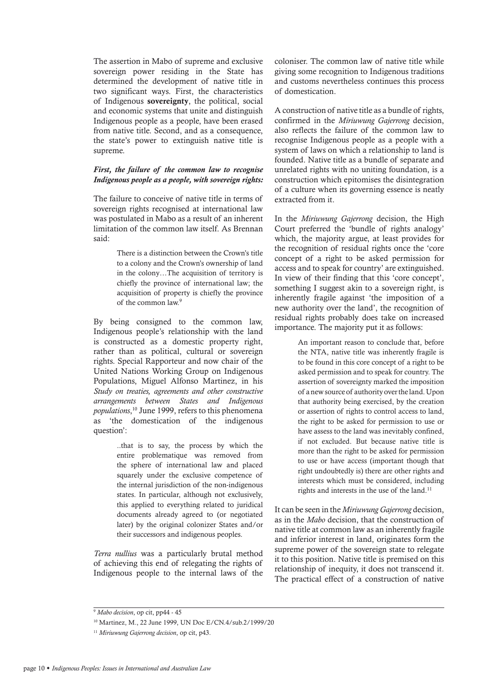The assertion in Mabo of supreme and exclusive sovereign power residing in the State has determined the development of native title in two significant ways. First, the characteristics of Indigenous sovereignty, the political, social and economic systems that unite and distinguish Indigenous people as a people, have been erased from native title. Second, and as a consequence, the state's power to extinguish native title is supreme.

## *First, the failure of the common law to recognise Indigenous people as a people, with sovereign rights:*

The failure to conceive of native title in terms of sovereign rights recognised at international law was postulated in Mabo as a result of an inherent limitation of the common law itself. As Brennan said:

> There is a distinction between the Crown's title to a colony and the Crown's ownership of land in the colony…The acquisition of territory is chiefly the province of international law; the acquisition of property is chiefly the province of the common law.<sup>9</sup>

By being consigned to the common law, Indigenous people's relationship with the land is constructed as a domestic property right, rather than as political, cultural or sovereign rights. Special Rapporteur and now chair of the United Nations Working Group on Indigenous Populations, Miguel Alfonso Martinez, in his *Study on treaties, agreements and other constructive arrangements between States and Indigenous populations*, 10 June 1999, refers to this phenomena as 'the domestication of the indigenous question':

> ..that is to say, the process by which the entire problematique was removed from the sphere of international law and placed squarely under the exclusive competence of the internal jurisdiction of the non-indigenous states. In particular, although not exclusively, this applied to everything related to juridical documents already agreed to (or negotiated later) by the original colonizer States and/or their successors and indigenous peoples.

*Terra nullius* was a particularly brutal method of achieving this end of relegating the rights of Indigenous people to the internal laws of the

coloniser. The common law of native title while giving some recognition to Indigenous traditions and customs nevertheless continues this process of domestication.

A construction of native title as a bundle of rights, confirmed in the *Miriuwung Gajerrong* decision, also reflects the failure of the common law to recognise Indigenous people as a people with a system of laws on which a relationship to land is founded. Native title as a bundle of separate and unrelated rights with no uniting foundation, is a construction which epitomises the disintegration of a culture when its governing essence is neatly extracted from it.

In the *Miriuwung Gajerrong* decision, the High Court preferred the 'bundle of rights analogy' which, the majority argue, at least provides for the recognition of residual rights once the 'core concept of a right to be asked permission for access and to speak for country' are extinguished. In view of their finding that this 'core concept', something I suggest akin to a sovereign right, is inherently fragile against 'the imposition of a new authority over the land', the recognition of residual rights probably does take on increased importance. The majority put it as follows:

> An important reason to conclude that, before the NTA, native title was inherently fragile is to be found in this core concept of a right to be asked permission and to speak for country. The assertion of sovereignty marked the imposition of a new source of authority over the land. Upon that authority being exercised, by the creation or assertion of rights to control access to land, the right to be asked for permission to use or have assess to the land was inevitably confined, if not excluded. But because native title is more than the right to be asked for permission to use or have access (important though that right undoubtedly is) there are other rights and interests which must be considered, including rights and interests in the use of the land.<sup>11</sup>

It can be seen in the *Miriuwung Gajerrong* decision, as in the *Mabo* decision, that the construction of native title at common law as an inherently fragile and inferior interest in land, originates form the supreme power of the sovereign state to relegate it to this position. Native title is premised on this relationship of inequity, it does not transcend it. The practical effect of a construction of native

<sup>9</sup> *Mabo decision*, op cit, pp44 - 45

<sup>10</sup> Martinez, M., 22 June 1999, UN Doc E/CN.4/sub.2/1999/20

<sup>11</sup> *Miriuwung Gajerrong decision*, op cit, p43.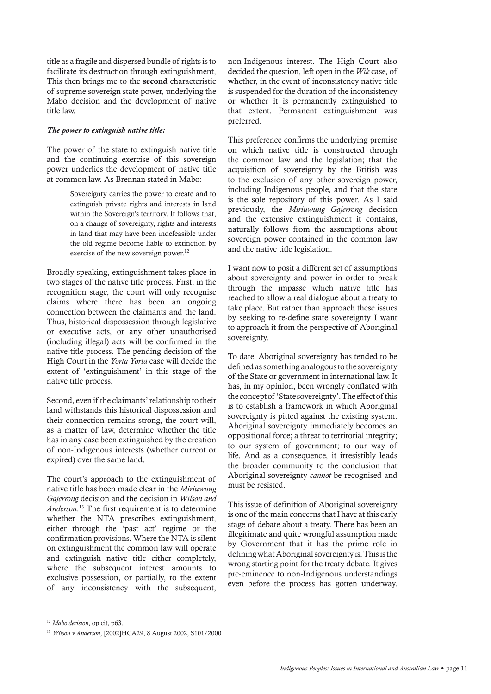title as a fragile and dispersed bundle of rights is to facilitate its destruction through extinguishment, This then brings me to the second characteristic of supreme sovereign state power, underlying the Mabo decision and the development of native title law.

#### *The power to extinguish native title:*

The power of the state to extinguish native title and the continuing exercise of this sovereign power underlies the development of native title at common law. As Brennan stated in Mabo:

> Sovereignty carries the power to create and to extinguish private rights and interests in land within the Sovereign's territory. It follows that, on a change of sovereignty, rights and interests in land that may have been indefeasible under the old regime become liable to extinction by exercise of the new sovereign power.<sup>12</sup>

Broadly speaking, extinguishment takes place in two stages of the native title process. First, in the recognition stage, the court will only recognise claims where there has been an ongoing connection between the claimants and the land. Thus, historical dispossession through legislative or executive acts, or any other unauthorised (including illegal) acts will be confirmed in the native title process. The pending decision of the High Court in the *Yorta Yorta* case will decide the extent of 'extinguishment' in this stage of the native title process.

Second, even if the claimants' relationship to their land withstands this historical dispossession and their connection remains strong, the court will, as a matter of law, determine whether the title has in any case been extinguished by the creation of non-Indigenous interests (whether current or expired) over the same land.

The court's approach to the extinguishment of native title has been made clear in the *Miriuwung Gajerrong* decision and the decision in *Wilson and Anderson*. 13 The first requirement is to determine whether the NTA prescribes extinguishment, either through the 'past act' regime or the confirmation provisions. Where the NTA is silent on extinguishment the common law will operate and extinguish native title either completely, where the subsequent interest amounts to exclusive possession, or partially, to the extent of any inconsistency with the subsequent, non-Indigenous interest. The High Court also decided the question, left open in the *Wik* case, of whether, in the event of inconsistency native title is suspended for the duration of the inconsistency or whether it is permanently extinguished to that extent. Permanent extinguishment was preferred.

This preference confirms the underlying premise on which native title is constructed through the common law and the legislation; that the acquisition of sovereignty by the British was to the exclusion of any other sovereign power, including Indigenous people, and that the state is the sole repository of this power. As I said previously, the *Miriuwung Gajerrong* decision and the extensive extinguishment it contains, naturally follows from the assumptions about sovereign power contained in the common law and the native title legislation.

I want now to posit a different set of assumptions about sovereignty and power in order to break through the impasse which native title has reached to allow a real dialogue about a treaty to take place. But rather than approach these issues by seeking to re-define state sovereignty I want to approach it from the perspective of Aboriginal sovereignty.

To date, Aboriginal sovereignty has tended to be defined as something analogous to the sovereignty of the State or government in international law. It has, in my opinion, been wrongly conflated with the concept of 'State sovereignty'. The effect of this is to establish a framework in which Aboriginal sovereignty is pitted against the existing system. Aboriginal sovereignty immediately becomes an oppositional force; a threat to territorial integrity; to our system of government; to our way of life. And as a consequence, it irresistibly leads the broader community to the conclusion that Aboriginal sovereignty *cannot* be recognised and must be resisted.

This issue of definition of Aboriginal sovereignty is one of the main concerns that I have at this early stage of debate about a treaty. There has been an illegitimate and quite wrongful assumption made by Government that it has the prime role in defining what Aboriginal sovereignty is. This is the wrong starting point for the treaty debate. It gives pre-eminence to non-Indigenous understandings even before the process has gotten underway.

<sup>12</sup> *Mabo decision*, op cit, p63.

<sup>13</sup> *Wilson v Anderson*, [2002]HCA29, 8 August 2002, S101/2000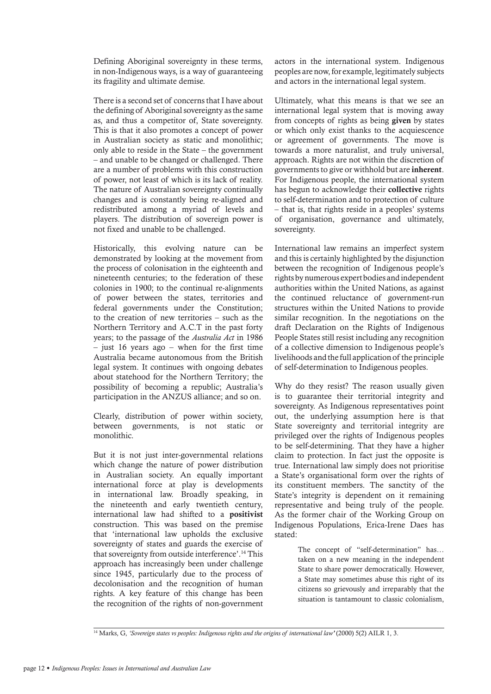Defining Aboriginal sovereignty in these terms, in non-Indigenous ways, is a way of guaranteeing its fragility and ultimate demise.

There is a second set of concerns that I have about the defining of Aboriginal sovereignty as the same as, and thus a competitor of, State sovereignty. This is that it also promotes a concept of power in Australian society as static and monolithic; only able to reside in the State – the government – and unable to be changed or challenged. There are a number of problems with this construction of power, not least of which is its lack of reality. The nature of Australian sovereignty continually changes and is constantly being re-aligned and redistributed among a myriad of levels and players. The distribution of sovereign power is not fixed and unable to be challenged.

Historically, this evolving nature can be demonstrated by looking at the movement from the process of colonisation in the eighteenth and nineteenth centuries; to the federation of these colonies in 1900; to the continual re-alignments of power between the states, territories and federal governments under the Constitution; to the creation of new territories – such as the Northern Territory and A.C.T in the past forty years; to the passage of the *Australia Act* in 1986 – just 16 years ago – when for the first time Australia became autonomous from the British legal system. It continues with ongoing debates about statehood for the Northern Territory; the possibility of becoming a republic; Australia's participation in the ANZUS alliance; and so on.

Clearly, distribution of power within society, between governments, is not static or monolithic.

But it is not just inter-governmental relations which change the nature of power distribution in Australian society. An equally important international force at play is developments in international law. Broadly speaking, in the nineteenth and early twentieth century, international law had shifted to a positivist construction. This was based on the premise that 'international law upholds the exclusive sovereignty of states and guards the exercise of that sovereignty from outside interference'.14 This approach has increasingly been under challenge since 1945, particularly due to the process of decolonisation and the recognition of human rights. A key feature of this change has been the recognition of the rights of non-government

actors in the international system. Indigenous peoples are now, for example, legitimately subjects and actors in the international legal system.

Ultimately, what this means is that we see an international legal system that is moving away from concepts of rights as being given by states or which only exist thanks to the acquiescence or agreement of governments. The move is towards a more naturalist, and truly universal, approach. Rights are not within the discretion of governments to give or withhold but are inherent. For Indigenous people, the international system has begun to acknowledge their collective rights to self-determination and to protection of culture – that is, that rights reside in a peoples' systems of organisation, governance and ultimately, sovereignty.

International law remains an imperfect system and this is certainly highlighted by the disjunction between the recognition of Indigenous people's rights by numerous expert bodies and independent authorities within the United Nations, as against the continued reluctance of government-run structures within the United Nations to provide similar recognition. In the negotiations on the draft Declaration on the Rights of Indigenous People States still resist including any recognition of a collective dimension to Indigenous people's livelihoods and the full application of the principle of self-determination to Indigenous peoples.

Why do they resist? The reason usually given is to guarantee their territorial integrity and sovereignty. As Indigenous representatives point out, the underlying assumption here is that State sovereignty and territorial integrity are privileged over the rights of Indigenous peoples to be self-determining. That they have a higher claim to protection. In fact just the opposite is true. International law simply does not prioritise a State's organisational form over the rights of its constituent members. The sanctity of the State's integrity is dependent on it remaining representative and being truly of the people. As the former chair of the Working Group on Indigenous Populations, Erica-Irene Daes has stated:

> The concept of "self-determination" has… taken on a new meaning in the independent State to share power democratically. However, a State may sometimes abuse this right of its citizens so grievously and irreparably that the situation is tantamount to classic colonialism,

<sup>&</sup>lt;sup>14</sup> Marks, G, 'Sovereign states vs peoples: Indigenous rights and the origins of international law' (2000) 5(2) AILR 1, 3.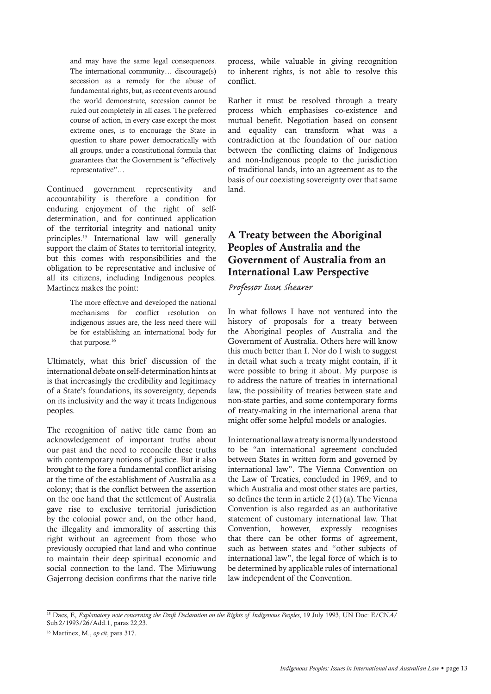and may have the same legal consequences. The international community… discourage(s) secession as a remedy for the abuse of fundamental rights, but, as recent events around the world demonstrate, secession cannot be ruled out completely in all cases. The preferred course of action, in every case except the most extreme ones, is to encourage the State in question to share power democratically with all groups, under a constitutional formula that guarantees that the Government is "effectively representative"…

Continued government representivity and accountability is therefore a condition for enduring enjoyment of the right of selfdetermination, and for continued application of the territorial integrity and national unity principles.15 International law will generally support the claim of States to territorial integrity, but this comes with responsibilities and the obligation to be representative and inclusive of all its citizens, including Indigenous peoples. Martinez makes the point:

> The more effective and developed the national mechanisms for conflict resolution on indigenous issues are, the less need there will be for establishing an international body for that purpose.<sup>16</sup>

Ultimately, what this brief discussion of the international debate on self-determination hints at is that increasingly the credibility and legitimacy of a State's foundations, its sovereignty, depends on its inclusivity and the way it treats Indigenous peoples.

The recognition of native title came from an acknowledgement of important truths about our past and the need to reconcile these truths with contemporary notions of justice. But it also brought to the fore a fundamental conflict arising at the time of the establishment of Australia as a colony; that is the conflict between the assertion on the one hand that the settlement of Australia gave rise to exclusive territorial jurisdiction by the colonial power and, on the other hand, the illegality and immorality of asserting this right without an agreement from those who previously occupied that land and who continue to maintain their deep spiritual economic and social connection to the land. The Miriuwung Gajerrong decision confirms that the native title process, while valuable in giving recognition to inherent rights, is not able to resolve this conflict.

Rather it must be resolved through a treaty process which emphasises co-existence and mutual benefit. Negotiation based on consent and equality can transform what was a contradiction at the foundation of our nation between the conflicting claims of Indigenous and non-Indigenous people to the jurisdiction of traditional lands, into an agreement as to the basis of our coexisting sovereignty over that same land.

## A Treaty between the Aboriginal Peoples of Australia and the Government of Australia from an International Law Perspective

*Professor Ivan Shearer*

In what follows I have not ventured into the history of proposals for a treaty between the Aboriginal peoples of Australia and the Government of Australia. Others here will know this much better than I. Nor do I wish to suggest in detail what such a treaty might contain, if it were possible to bring it about. My purpose is to address the nature of treaties in international law, the possibility of treaties between state and non-state parties, and some contemporary forms of treaty-making in the international arena that might offer some helpful models or analogies.

In international law a treaty is normally understood to be "an international agreement concluded between States in written form and governed by international law". The Vienna Convention on the Law of Treaties, concluded in 1969, and to which Australia and most other states are parties, so defines the term in article 2 (1) (a). The Vienna Convention is also regarded as an authoritative statement of customary international law. That Convention, however, expressly recognises that there can be other forms of agreement, such as between states and "other subjects of international law", the legal force of which is to be determined by applicable rules of international law independent of the Convention.

<sup>15</sup> Daes, E, *Explanatory note concerning the Draft Declaration on the Rights of Indigenous Peoples*, 19 July 1993, UN Doc: E/CN.4/ Sub.2/1993/26/Add.1, paras 22,23.

<sup>16</sup> Martinez, M., *op cit*, para 317.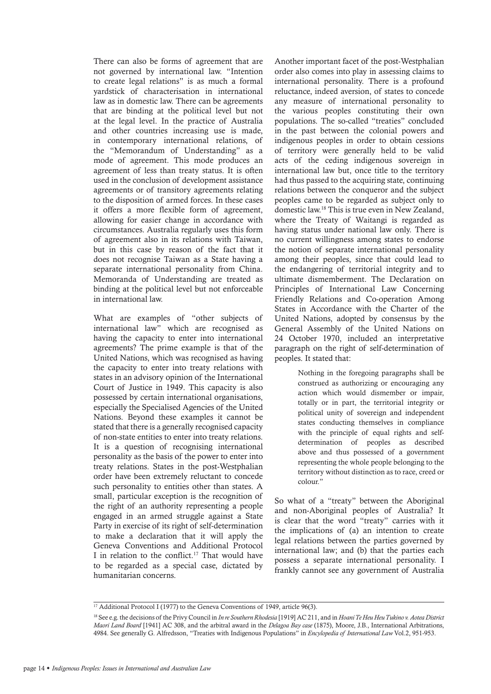There can also be forms of agreement that are not governed by international law. "Intention to create legal relations" is as much a formal yardstick of characterisation in international law as in domestic law. There can be agreements that are binding at the political level but not at the legal level. In the practice of Australia and other countries increasing use is made, in contemporary international relations, of the "Memorandum of Understanding" as a mode of agreement. This mode produces an agreement of less than treaty status. It is often used in the conclusion of development assistance agreements or of transitory agreements relating to the disposition of armed forces. In these cases it offers a more flexible form of agreement, allowing for easier change in accordance with circumstances. Australia regularly uses this form of agreement also in its relations with Taiwan, but in this case by reason of the fact that it does not recognise Taiwan as a State having a separate international personality from China. Memoranda of Understanding are treated as binding at the political level but not enforceable in international law.

What are examples of "other subjects of international law" which are recognised as having the capacity to enter into international agreements? The prime example is that of the United Nations, which was recognised as having the capacity to enter into treaty relations with states in an advisory opinion of the International Court of Justice in 1949. This capacity is also possessed by certain international organisations, especially the Specialised Agencies of the United Nations. Beyond these examples it cannot be stated that there is a generally recognised capacity of non-state entities to enter into treaty relations. It is a question of recognising international personality as the basis of the power to enter into treaty relations. States in the post-Westphalian order have been extremely reluctant to concede such personality to entities other than states. A small, particular exception is the recognition of the right of an authority representing a people engaged in an armed struggle against a State Party in exercise of its right of self-determination to make a declaration that it will apply the Geneva Conventions and Additional Protocol I in relation to the conflict.<sup>17</sup> That would have to be regarded as a special case, dictated by humanitarian concerns.

Another important facet of the post-Westphalian order also comes into play in assessing claims to international personality. There is a profound reluctance, indeed aversion, of states to concede any measure of international personality to the various peoples constituting their own populations. The so-called "treaties" concluded in the past between the colonial powers and indigenous peoples in order to obtain cessions of territory were generally held to be valid acts of the ceding indigenous sovereign in international law but, once title to the territory had thus passed to the acquiring state, continuing relations between the conqueror and the subject peoples came to be regarded as subject only to domestic law.18 This is true even in New Zealand, where the Treaty of Waitangi is regarded as having status under national law only. There is no current willingness among states to endorse the notion of separate international personality among their peoples, since that could lead to the endangering of territorial integrity and to ultimate dismemberment. The Declaration on Principles of International Law Concerning Friendly Relations and Co-operation Among States in Accordance with the Charter of the United Nations, adopted by consensus by the General Assembly of the United Nations on 24 October 1970, included an interpretative paragraph on the right of self-determination of peoples. It stated that:

> Nothing in the foregoing paragraphs shall be construed as authorizing or encouraging any action which would dismember or impair, totally or in part, the territorial integrity or political unity of sovereign and independent states conducting themselves in compliance with the principle of equal rights and selfdetermination of peoples as described above and thus possessed of a government representing the whole people belonging to the territory without distinction as to race, creed or colour."

So what of a "treaty" between the Aboriginal and non-Aboriginal peoples of Australia? It is clear that the word "treaty" carries with it the implications of (a) an intention to create legal relations between the parties governed by international law; and (b) that the parties each possess a separate international personality. I frankly cannot see any government of Australia

<sup>&</sup>lt;sup>17</sup> Additional Protocol I (1977) to the Geneva Conventions of 1949, article 96(3).

<sup>18</sup> See e.g. the decisions of the Privy Council in *In re Southern Rhodesia* [1919] AC 211, and in *Hoani Te Heu Heu Tukino v. Aotea District Maori Land Board* [1941] AC 308, and the arbitral award in the *Delagoa Bay case* (1875), Moore, J.B., International Arbitrations, 4984. See generally G. Alfredsson, "Treaties with Indigenous Populations" in *Encylopedia of International Law* Vol.2, 951-953.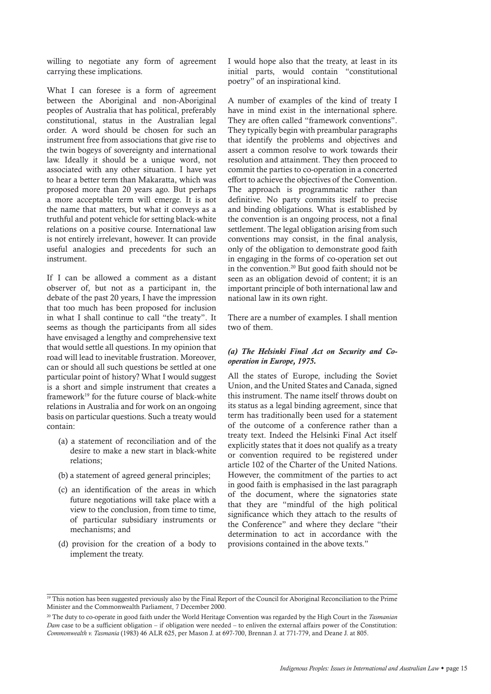willing to negotiate any form of agreement carrying these implications.

What I can foresee is a form of agreement between the Aboriginal and non-Aboriginal peoples of Australia that has political, preferably constitutional, status in the Australian legal order. A word should be chosen for such an instrument free from associations that give rise to the twin bogeys of sovereignty and international law. Ideally it should be a unique word, not associated with any other situation. I have yet to hear a better term than Makaratta, which was proposed more than 20 years ago. But perhaps a more acceptable term will emerge. It is not the name that matters, but what it conveys as a truthful and potent vehicle for setting black-white relations on a positive course. International law is not entirely irrelevant, however. It can provide useful analogies and precedents for such an instrument.

If I can be allowed a comment as a distant observer of, but not as a participant in, the debate of the past 20 years, I have the impression that too much has been proposed for inclusion in what I shall continue to call "the treaty". It seems as though the participants from all sides have envisaged a lengthy and comprehensive text that would settle all questions. In my opinion that road will lead to inevitable frustration. Moreover, can or should all such questions be settled at one particular point of history? What I would suggest is a short and simple instrument that creates a framework<sup>19</sup> for the future course of black-white relations in Australia and for work on an ongoing basis on particular questions. Such a treaty would contain:

- (a) a statement of reconciliation and of the desire to make a new start in black-white relations;
- (b) a statement of agreed general principles;
- (c) an identification of the areas in which future negotiations will take place with a view to the conclusion, from time to time, of particular subsidiary instruments or mechanisms; and
- (d) provision for the creation of a body to implement the treaty.

I would hope also that the treaty, at least in its initial parts, would contain "constitutional poetry" of an inspirational kind.

A number of examples of the kind of treaty I have in mind exist in the international sphere. They are often called "framework conventions". They typically begin with preambular paragraphs that identify the problems and objectives and assert a common resolve to work towards their resolution and attainment. They then proceed to commit the parties to co-operation in a concerted effort to achieve the objectives of the Convention. The approach is programmatic rather than definitive. No party commits itself to precise and binding obligations. What is established by the convention is an ongoing process, not a final settlement. The legal obligation arising from such conventions may consist, in the final analysis, only of the obligation to demonstrate good faith in engaging in the forms of co-operation set out in the convention.20 But good faith should not be seen as an obligation devoid of content; it is an important principle of both international law and national law in its own right.

There are a number of examples. I shall mention two of them.

## *(a) The Helsinki Final Act on Security and Cooperation in Europe, 1975.*

All the states of Europe, including the Soviet Union, and the United States and Canada, signed this instrument. The name itself throws doubt on its status as a legal binding agreement, since that term has traditionally been used for a statement of the outcome of a conference rather than a treaty text. Indeed the Helsinki Final Act itself explicitly states that it does not qualify as a treaty or convention required to be registered under article 102 of the Charter of the United Nations. However, the commitment of the parties to act in good faith is emphasised in the last paragraph of the document, where the signatories state that they are "mindful of the high political significance which they attach to the results of the Conference" and where they declare "their determination to act in accordance with the provisions contained in the above texts."

<sup>&</sup>lt;sup>19</sup> This notion has been suggested previously also by the Final Report of the Council for Aboriginal Reconciliation to the Prime Minister and the Commonwealth Parliament, 7 December 2000.

<sup>20</sup> The duty to co-operate in good faith under the World Heritage Convention was regarded by the High Court in the *Tasmanian Dam* case to be a sufficient obligation – if obligation were needed – to enliven the external affairs power of the Constitution: *Commonwealth v. Tasmania* (1983) 46 ALR 625, per Mason J. at 697-700, Brennan J. at 771-779, and Deane J. at 805.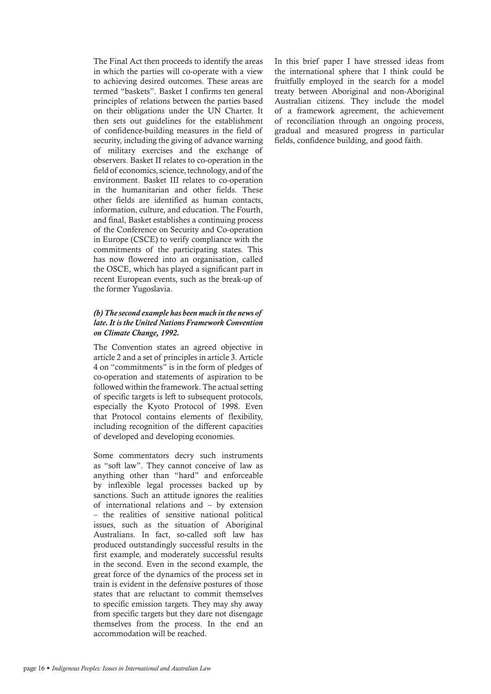The Final Act then proceeds to identify the areas in which the parties will co-operate with a view to achieving desired outcomes. These areas are termed "baskets". Basket I confirms ten general principles of relations between the parties based on their obligations under the UN Charter. It then sets out guidelines for the establishment of confidence-building measures in the field of security, including the giving of advance warning of military exercises and the exchange of observers. Basket II relates to co-operation in the field of economics, science, technology, and of the environment. Basket III relates to co-operation in the humanitarian and other fields. These other fields are identified as human contacts, information, culture, and education. The Fourth, and final, Basket establishes a continuing process of the Conference on Security and Co-operation in Europe (CSCE) to verify compliance with the commitments of the participating states. This has now flowered into an organisation, called the OSCE, which has played a significant part in recent European events, such as the break-up of the former Yugoslavia.

## *(b) The second example has been much in the news of late. It is the United Nations Framework Convention on Climate Change, 1992.*

The Convention states an agreed objective in article 2 and a set of principles in article 3. Article 4 on "commitments" is in the form of pledges of co-operation and statements of aspiration to be followed within the framework. The actual setting of specific targets is left to subsequent protocols, especially the Kyoto Protocol of 1998. Even that Protocol contains elements of flexibility, including recognition of the different capacities of developed and developing economies.

Some commentators decry such instruments as "soft law". They cannot conceive of law as anything other than "hard" and enforceable by inflexible legal processes backed up by sanctions. Such an attitude ignores the realities of international relations and – by extension – the realities of sensitive national political issues, such as the situation of Aboriginal Australians. In fact, so-called soft law has produced outstandingly successful results in the first example, and moderately successful results in the second. Even in the second example, the great force of the dynamics of the process set in train is evident in the defensive postures of those states that are reluctant to commit themselves to specific emission targets. They may shy away from specific targets but they dare not disengage themselves from the process. In the end an accommodation will be reached.

In this brief paper I have stressed ideas from the international sphere that I think could be fruitfully employed in the search for a model treaty between Aboriginal and non-Aboriginal Australian citizens. They include the model of a framework agreement, the achievement of reconciliation through an ongoing process, gradual and measured progress in particular fields, confidence building, and good faith.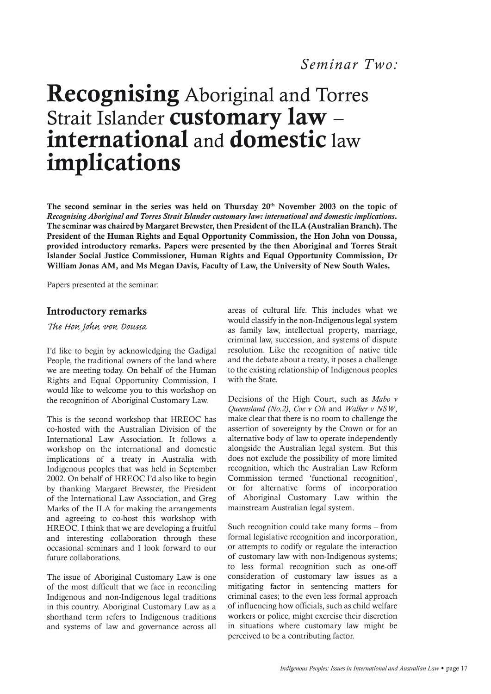## Recognising Aboriginal and Torres Strait Islander customary law international and domestic law implications

The second seminar in the series was held on Thursday 20th November 2003 on the topic of *Recognising Aboriginal and Torres Strait Islander customary law: international and domestic implications*. The seminar was chaired by Margaret Brewster, then President of the ILA (Australian Branch). The President of the Human Rights and Equal Opportunity Commission, the Hon John von Doussa, provided introductory remarks. Papers were presented by the then Aboriginal and Torres Strait Islander Social Justice Commissioner, Human Rights and Equal Opportunity Commission, Dr William Jonas AM, and Ms Megan Davis, Faculty of Law, the University of New South Wales.

Papers presented at the seminar:

## Introductory remarks

## *The Hon John von Doussa*

I'd like to begin by acknowledging the Gadigal People, the traditional owners of the land where we are meeting today. On behalf of the Human Rights and Equal Opportunity Commission, I would like to welcome you to this workshop on the recognition of Aboriginal Customary Law.

This is the second workshop that HREOC has co-hosted with the Australian Division of the International Law Association. It follows a workshop on the international and domestic implications of a treaty in Australia with Indigenous peoples that was held in September 2002. On behalf of HREOC I'd also like to begin by thanking Margaret Brewster, the President of the International Law Association, and Greg Marks of the ILA for making the arrangements and agreeing to co-host this workshop with HREOC. I think that we are developing a fruitful and interesting collaboration through these occasional seminars and I look forward to our future collaborations.

The issue of Aboriginal Customary Law is one of the most difficult that we face in reconciling Indigenous and non-Indigenous legal traditions in this country. Aboriginal Customary Law as a shorthand term refers to Indigenous traditions and systems of law and governance across all areas of cultural life. This includes what we would classify in the non-Indigenous legal system as family law, intellectual property, marriage, criminal law, succession, and systems of dispute resolution. Like the recognition of native title and the debate about a treaty, it poses a challenge to the existing relationship of Indigenous peoples with the State.

Decisions of the High Court, such as *Mabo v Queensland (No.2)*, *Coe v Cth* and *Walker v NSW*, make clear that there is no room to challenge the assertion of sovereignty by the Crown or for an alternative body of law to operate independently alongside the Australian legal system. But this does not exclude the possibility of more limited recognition, which the Australian Law Reform Commission termed 'functional recognition', or for alternative forms of incorporation of Aboriginal Customary Law within the mainstream Australian legal system.

Such recognition could take many forms – from formal legislative recognition and incorporation, or attempts to codify or regulate the interaction of customary law with non-Indigenous systems; to less formal recognition such as one-off consideration of customary law issues as a mitigating factor in sentencing matters for criminal cases; to the even less formal approach of influencing how officials, such as child welfare workers or police, might exercise their discretion in situations where customary law might be perceived to be a contributing factor.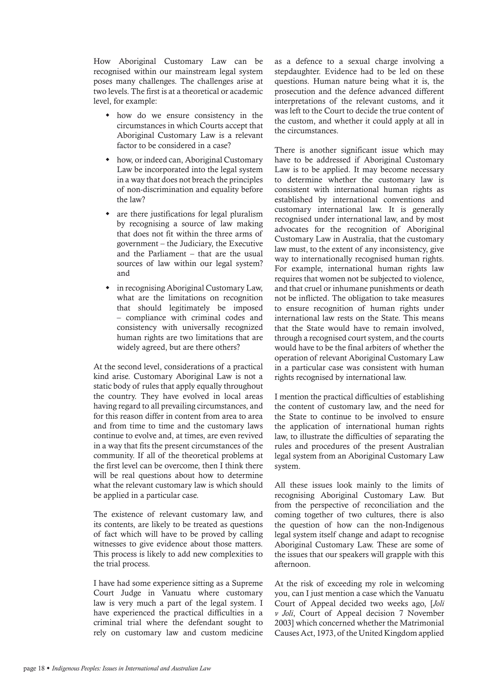How Aboriginal Customary Law can be recognised within our mainstream legal system poses many challenges. The challenges arise at two levels. The first is at a theoretical or academic level, for example:

- how do we ensure consistency in the circumstances in which Courts accept that Aboriginal Customary Law is a relevant factor to be considered in a case?
- how, or indeed can, Aboriginal Customary Law be incorporated into the legal system in a way that does not breach the principles of non-discrimination and equality before the law?
- are there justifications for legal pluralism by recognising a source of law making that does not fit within the three arms of government – the Judiciary, the Executive and the Parliament – that are the usual sources of law within our legal system? and
- $\bullet$  in recognising Aboriginal Customary Law, what are the limitations on recognition that should legitimately be imposed – compliance with criminal codes and consistency with universally recognized human rights are two limitations that are widely agreed, but are there others?

At the second level, considerations of a practical kind arise. Customary Aboriginal Law is not a static body of rules that apply equally throughout the country. They have evolved in local areas having regard to all prevailing circumstances, and for this reason differ in content from area to area and from time to time and the customary laws continue to evolve and, at times, are even revived in a way that fits the present circumstances of the community. If all of the theoretical problems at the first level can be overcome, then I think there will be real questions about how to determine what the relevant customary law is which should be applied in a particular case.

The existence of relevant customary law, and its contents, are likely to be treated as questions of fact which will have to be proved by calling witnesses to give evidence about those matters. This process is likely to add new complexities to the trial process.

I have had some experience sitting as a Supreme Court Judge in Vanuatu where customary law is very much a part of the legal system. I have experienced the practical difficulties in a criminal trial where the defendant sought to rely on customary law and custom medicine as a defence to a sexual charge involving a stepdaughter. Evidence had to be led on these questions. Human nature being what it is, the prosecution and the defence advanced different interpretations of the relevant customs, and it was left to the Court to decide the true content of the custom, and whether it could apply at all in the circumstances.

There is another significant issue which may have to be addressed if Aboriginal Customary Law is to be applied. It may become necessary to determine whether the customary law is consistent with international human rights as established by international conventions and customary international law. It is generally recognised under international law, and by most advocates for the recognition of Aboriginal Customary Law in Australia, that the customary law must, to the extent of any inconsistency, give way to internationally recognised human rights. For example, international human rights law requires that women not be subjected to violence, and that cruel or inhumane punishments or death not be inflicted. The obligation to take measures to ensure recognition of human rights under international law rests on the State. This means that the State would have to remain involved, through a recognised court system, and the courts would have to be the final arbiters of whether the operation of relevant Aboriginal Customary Law in a particular case was consistent with human rights recognised by international law.

I mention the practical difficulties of establishing the content of customary law, and the need for the State to continue to be involved to ensure the application of international human rights law, to illustrate the difficulties of separating the rules and procedures of the present Australian legal system from an Aboriginal Customary Law system.

All these issues look mainly to the limits of recognising Aboriginal Customary Law. But from the perspective of reconciliation and the coming together of two cultures, there is also the question of how can the non-Indigenous legal system itself change and adapt to recognise Aboriginal Customary Law. These are some of the issues that our speakers will grapple with this afternoon.

At the risk of exceeding my role in welcoming you, can I just mention a case which the Vanuatu Court of Appeal decided two weeks ago, [*Joli v Joli*, Court of Appeal decision 7 November 2003] which concerned whether the Matrimonial Causes Act, 1973, of the United Kingdom applied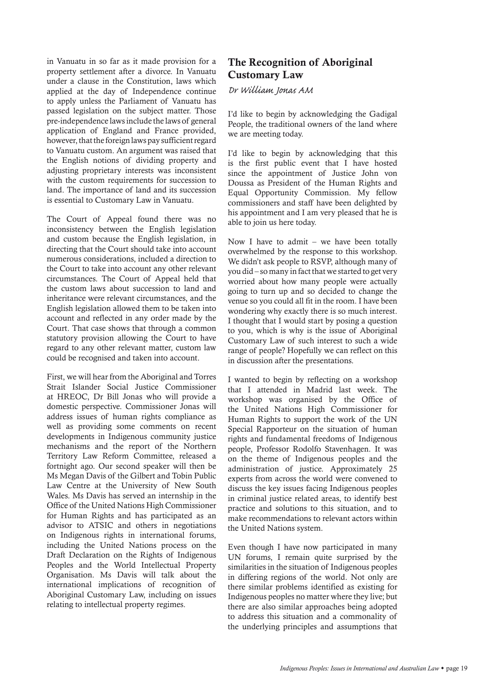in Vanuatu in so far as it made provision for a property settlement after a divorce. In Vanuatu under a clause in the Constitution, laws which applied at the day of Independence continue to apply unless the Parliament of Vanuatu has passed legislation on the subject matter. Those pre-independence laws include the laws of general application of England and France provided, however, that the foreign laws pay sufficient regard to Vanuatu custom. An argument was raised that the English notions of dividing property and adjusting proprietary interests was inconsistent with the custom requirements for succession to land. The importance of land and its succession is essential to Customary Law in Vanuatu.

The Court of Appeal found there was no inconsistency between the English legislation and custom because the English legislation, in directing that the Court should take into account numerous considerations, included a direction to the Court to take into account any other relevant circumstances. The Court of Appeal held that the custom laws about succession to land and inheritance were relevant circumstances, and the English legislation allowed them to be taken into account and reflected in any order made by the Court. That case shows that through a common statutory provision allowing the Court to have regard to any other relevant matter, custom law could be recognised and taken into account.

First, we will hear from the Aboriginal and Torres Strait Islander Social Justice Commissioner at HREOC, Dr Bill Jonas who will provide a domestic perspective. Commissioner Jonas will address issues of human rights compliance as well as providing some comments on recent developments in Indigenous community justice mechanisms and the report of the Northern Territory Law Reform Committee, released a fortnight ago. Our second speaker will then be Ms Megan Davis of the Gilbert and Tobin Public Law Centre at the University of New South Wales. Ms Davis has served an internship in the Office of the United Nations High Commissioner for Human Rights and has participated as an advisor to ATSIC and others in negotiations on Indigenous rights in international forums, including the United Nations process on the Draft Declaration on the Rights of Indigenous Peoples and the World Intellectual Property Organisation. Ms Davis will talk about the international implications of recognition of Aboriginal Customary Law, including on issues relating to intellectual property regimes.

## The Recognition of Aboriginal Customary Law

#### *Dr William Jonas AM*

I'd like to begin by acknowledging the Gadigal People, the traditional owners of the land where we are meeting today.

I'd like to begin by acknowledging that this is the first public event that I have hosted since the appointment of Justice John von Doussa as President of the Human Rights and Equal Opportunity Commission. My fellow commissioners and staff have been delighted by his appointment and I am very pleased that he is able to join us here today.

Now I have to admit – we have been totally overwhelmed by the response to this workshop. We didn't ask people to RSVP, although many of you did – so many in fact that we started to get very worried about how many people were actually going to turn up and so decided to change the venue so you could all fit in the room. I have been wondering why exactly there is so much interest. I thought that I would start by posing a question to you, which is why is the issue of Aboriginal Customary Law of such interest to such a wide range of people? Hopefully we can reflect on this in discussion after the presentations.

I wanted to begin by reflecting on a workshop that I attended in Madrid last week. The workshop was organised by the Office of the United Nations High Commissioner for Human Rights to support the work of the UN Special Rapporteur on the situation of human rights and fundamental freedoms of Indigenous people, Professor Rodolfo Stavenhagen. It was on the theme of Indigenous peoples and the administration of justice. Approximately 25 experts from across the world were convened to discuss the key issues facing Indigenous peoples in criminal justice related areas, to identify best practice and solutions to this situation, and to make recommendations to relevant actors within the United Nations system.

Even though I have now participated in many UN forums, I remain quite surprised by the similarities in the situation of Indigenous peoples in differing regions of the world. Not only are there similar problems identified as existing for Indigenous peoples no matter where they live; but there are also similar approaches being adopted to address this situation and a commonality of the underlying principles and assumptions that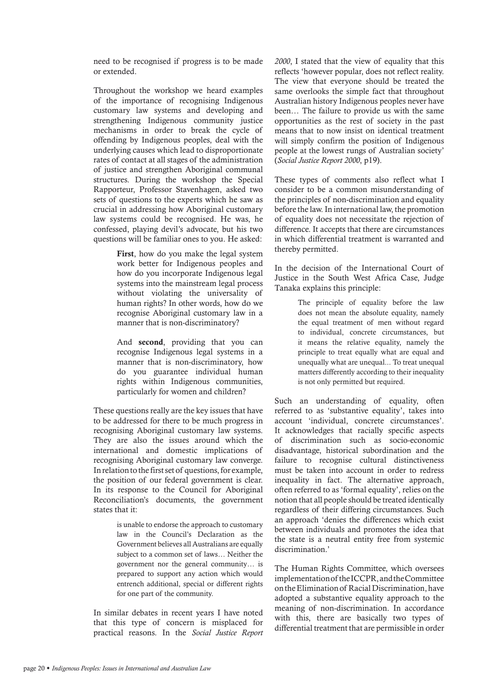need to be recognised if progress is to be made or extended.

Throughout the workshop we heard examples of the importance of recognising Indigenous customary law systems and developing and strengthening Indigenous community justice mechanisms in order to break the cycle of offending by Indigenous peoples, deal with the underlying causes which lead to disproportionate rates of contact at all stages of the administration of justice and strengthen Aboriginal communal structures. During the workshop the Special Rapporteur, Professor Stavenhagen, asked two sets of questions to the experts which he saw as crucial in addressing how Aboriginal customary law systems could be recognised. He was, he confessed, playing devil's advocate, but his two questions will be familiar ones to you. He asked:

> First, how do you make the legal system work better for Indigenous peoples and how do you incorporate Indigenous legal systems into the mainstream legal process without violating the universality of human rights? In other words, how do we recognise Aboriginal customary law in a manner that is non-discriminatory?

> And second, providing that you can recognise Indigenous legal systems in a manner that is non-discriminatory, how do you guarantee individual human rights within Indigenous communities, particularly for women and children?

These questions really are the key issues that have to be addressed for there to be much progress in recognising Aboriginal customary law systems. They are also the issues around which the international and domestic implications of recognising Aboriginal customary law converge. In relation to the first set of questions, for example, the position of our federal government is clear. In its response to the Council for Aboriginal Reconciliation's documents, the government states that it:

> is unable to endorse the approach to customary law in the Council's Declaration as the Government believes all Australians are equally subject to a common set of laws… Neither the government nor the general community… is prepared to support any action which would entrench additional, special or different rights for one part of the community.

In similar debates in recent years I have noted that this type of concern is misplaced for practical reasons. In the *Social Justice Report*  *2000*, I stated that the view of equality that this reflects 'however popular, does not reflect reality. The view that everyone should be treated the same overlooks the simple fact that throughout Australian history Indigenous peoples never have been… The failure to provide us with the same opportunities as the rest of society in the past means that to now insist on identical treatment will simply confirm the position of Indigenous people at the lowest rungs of Australian society' (*Social Justice Report 2000*, p19).

These types of comments also reflect what I consider to be a common misunderstanding of the principles of non-discrimination and equality before the law. In international law, the promotion of equality does not necessitate the rejection of difference. It accepts that there are circumstances in which differential treatment is warranted and thereby permitted.

In the decision of the International Court of Justice in the South West Africa Case, Judge Tanaka explains this principle:

> The principle of equality before the law does not mean the absolute equality, namely the equal treatment of men without regard to individual, concrete circumstances, but it means the relative equality, namely the principle to treat equally what are equal and unequally what are unequal... To treat unequal matters differently according to their inequality is not only permitted but required.

Such an understanding of equality, often referred to as 'substantive equality', takes into account 'individual, concrete circumstances'. It acknowledges that racially specific aspects of discrimination such as socio-economic disadvantage, historical subordination and the failure to recognise cultural distinctiveness must be taken into account in order to redress inequality in fact. The alternative approach, often referred to as 'formal equality', relies on the notion that all people should be treated identically regardless of their differing circumstances. Such an approach 'denies the differences which exist between individuals and promotes the idea that the state is a neutral entity free from systemic discrimination<sup>'</sup>

The Human Rights Committee, which oversees implementation of the ICCPR, and the Committee on the Elimination of Racial Discrimination, have adopted a substantive equality approach to the meaning of non-discrimination. In accordance with this, there are basically two types of differential treatment that are permissible in order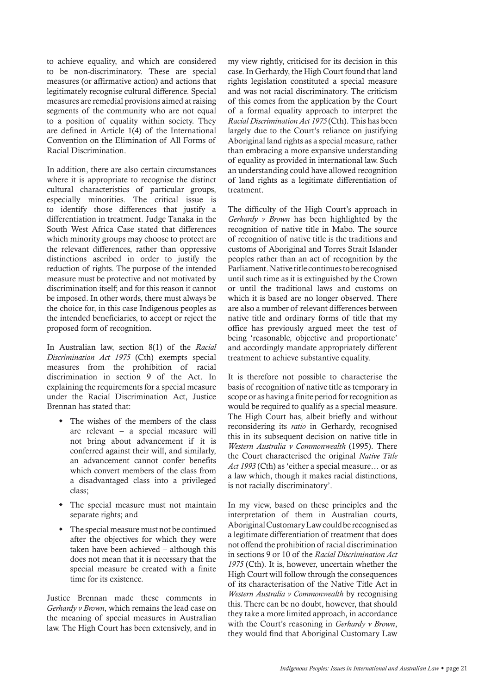to achieve equality, and which are considered to be non-discriminatory. These are special measures (or affirmative action) and actions that legitimately recognise cultural difference. Special measures are remedial provisions aimed at raising segments of the community who are not equal to a position of equality within society. They are defined in Article 1(4) of the International Convention on the Elimination of All Forms of Racial Discrimination.

In addition, there are also certain circumstances where it is appropriate to recognise the distinct cultural characteristics of particular groups, especially minorities. The critical issue is to identify those differences that justify a differentiation in treatment. Judge Tanaka in the South West Africa Case stated that differences which minority groups may choose to protect are the relevant differences, rather than oppressive distinctions ascribed in order to justify the reduction of rights. The purpose of the intended measure must be protective and not motivated by discrimination itself; and for this reason it cannot be imposed. In other words, there must always be the choice for, in this case Indigenous peoples as the intended beneficiaries, to accept or reject the proposed form of recognition.

In Australian law, section 8(1) of the *Racial Discrimination Act 1975* (Cth) exempts special measures from the prohibition of racial discrimination in section 9 of the Act. In explaining the requirements for a special measure under the Racial Discrimination Act, Justice Brennan has stated that:

- $\bullet$  The wishes of the members of the class are relevant – a special measure will not bring about advancement if it is conferred against their will, and similarly, an advancement cannot confer benefits which convert members of the class from a disadvantaged class into a privileged class;
- The special measure must not maintain separate rights; and
- $\cdot$  The special measure must not be continued after the objectives for which they were taken have been achieved – although this does not mean that it is necessary that the special measure be created with a finite time for its existence.

Justice Brennan made these comments in *Gerhardy v Brown*, which remains the lead case on the meaning of special measures in Australian law. The High Court has been extensively, and in my view rightly, criticised for its decision in this case. In Gerhardy, the High Court found that land rights legislation constituted a special measure and was not racial discriminatory. The criticism of this comes from the application by the Court of a formal equality approach to interpret the *Racial Discrimination Act 1975* (Cth). This has been largely due to the Court's reliance on justifying Aboriginal land rights as a special measure, rather than embracing a more expansive understanding of equality as provided in international law. Such an understanding could have allowed recognition of land rights as a legitimate differentiation of treatment.

The difficulty of the High Court's approach in *Gerhardy v Brown* has been highlighted by the recognition of native title in Mabo. The source of recognition of native title is the traditions and customs of Aboriginal and Torres Strait Islander peoples rather than an act of recognition by the Parliament. Native title continues to be recognised until such time as it is extinguished by the Crown or until the traditional laws and customs on which it is based are no longer observed. There are also a number of relevant differences between native title and ordinary forms of title that my office has previously argued meet the test of being 'reasonable, objective and proportionate' and accordingly mandate appropriately different treatment to achieve substantive equality.

It is therefore not possible to characterise the basis of recognition of native title as temporary in scope or as having a finite period for recognition as would be required to qualify as a special measure. The High Court has, albeit briefly and without reconsidering its *ratio* in Gerhardy, recognised this in its subsequent decision on native title in *Western Australia v Commonwealth* (1995). There the Court characterised the original *Native Title Act 1993* (Cth) as 'either a special measure… or as a law which, though it makes racial distinctions, is not racially discriminatory'.

In my view, based on these principles and the interpretation of them in Australian courts, Aboriginal Customary Law could be recognised as a legitimate differentiation of treatment that does not offend the prohibition of racial discrimination in sections 9 or 10 of the *Racial Discrimination Act 1975* (Cth). It is, however, uncertain whether the High Court will follow through the consequences of its characterisation of the Native Title Act in *Western Australia v Commonwealth* by recognising this. There can be no doubt, however, that should they take a more limited approach, in accordance with the Court's reasoning in *Gerhardy v Brown*, they would find that Aboriginal Customary Law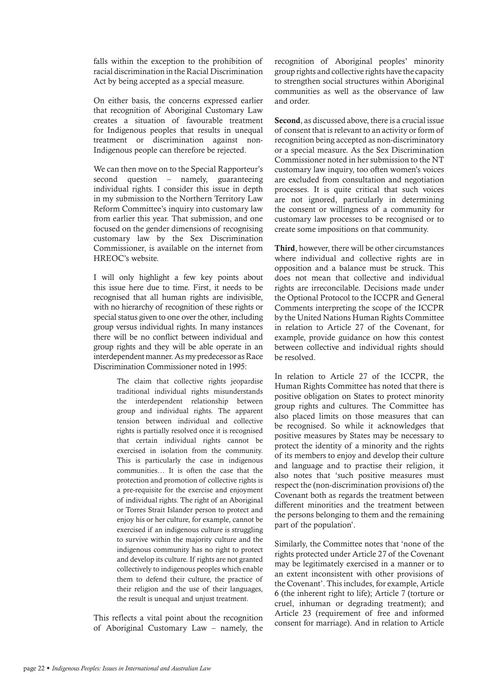falls within the exception to the prohibition of racial discrimination in the Racial Discrimination Act by being accepted as a special measure.

On either basis, the concerns expressed earlier that recognition of Aboriginal Customary Law creates a situation of favourable treatment for Indigenous peoples that results in unequal treatment or discrimination against non-Indigenous people can therefore be rejected.

We can then move on to the Special Rapporteur's second question – namely, guaranteeing individual rights. I consider this issue in depth in my submission to the Northern Territory Law Reform Committee's inquiry into customary law from earlier this year. That submission, and one focused on the gender dimensions of recognising customary law by the Sex Discrimination Commissioner, is available on the internet from HREOC's website.

I will only highlight a few key points about this issue here due to time. First, it needs to be recognised that all human rights are indivisible, with no hierarchy of recognition of these rights or special status given to one over the other, including group versus individual rights. In many instances there will be no conflict between individual and group rights and they will be able operate in an interdependent manner. As my predecessor as Race Discrimination Commissioner noted in 1995:

> The claim that collective rights jeopardise traditional individual rights misunderstands the interdependent relationship between group and individual rights. The apparent tension between individual and collective rights is partially resolved once it is recognised that certain individual rights cannot be exercised in isolation from the community. This is particularly the case in indigenous communities… It is often the case that the protection and promotion of collective rights is a pre-requisite for the exercise and enjoyment of individual rights. The right of an Aboriginal or Torres Strait Islander person to protect and enjoy his or her culture, for example, cannot be exercised if an indigenous culture is struggling to survive within the majority culture and the indigenous community has no right to protect and develop its culture. If rights are not granted collectively to indigenous peoples which enable them to defend their culture, the practice of their religion and the use of their languages, the result is unequal and unjust treatment.

This reflects a vital point about the recognition of Aboriginal Customary Law – namely, the recognition of Aboriginal peoples' minority group rights and collective rights have the capacity to strengthen social structures within Aboriginal communities as well as the observance of law and order.

Second, as discussed above, there is a crucial issue of consent that is relevant to an activity or form of recognition being accepted as non-discriminatory or a special measure. As the Sex Discrimination Commissioner noted in her submission to the NT customary law inquiry, too often women's voices are excluded from consultation and negotiation processes. It is quite critical that such voices are not ignored, particularly in determining the consent or willingness of a community for customary law processes to be recognised or to create some impositions on that community.

Third, however, there will be other circumstances where individual and collective rights are in opposition and a balance must be struck. This does not mean that collective and individual rights are irreconcilable. Decisions made under the Optional Protocol to the ICCPR and General Comments interpreting the scope of the ICCPR by the United Nations Human Rights Committee in relation to Article 27 of the Covenant, for example, provide guidance on how this contest between collective and individual rights should be resolved.

In relation to Article 27 of the ICCPR, the Human Rights Committee has noted that there is positive obligation on States to protect minority group rights and cultures. The Committee has also placed limits on those measures that can be recognised. So while it acknowledges that positive measures by States may be necessary to protect the identity of a minority and the rights of its members to enjoy and develop their culture and language and to practise their religion, it also notes that 'such positive measures must respect the (non-discrimination provisions of) the Covenant both as regards the treatment between different minorities and the treatment between the persons belonging to them and the remaining part of the population'.

Similarly, the Committee notes that 'none of the rights protected under Article 27 of the Covenant may be legitimately exercised in a manner or to an extent inconsistent with other provisions of the Covenant'. This includes, for example, Article 6 (the inherent right to life); Article 7 (torture or cruel, inhuman or degrading treatment); and Article 23 (requirement of free and informed consent for marriage). And in relation to Article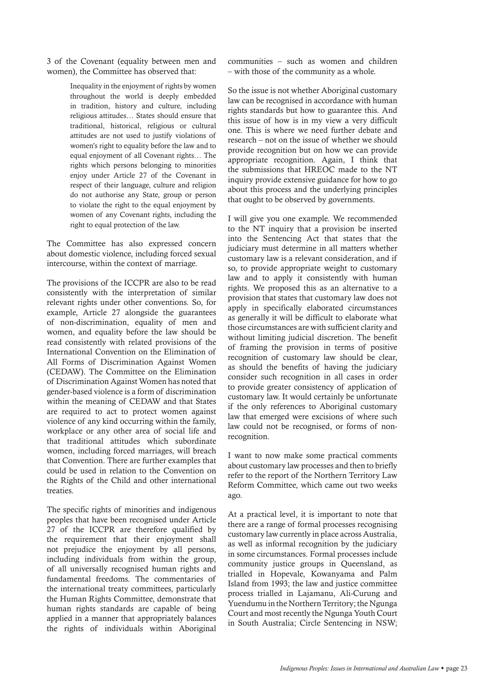3 of the Covenant (equality between men and women), the Committee has observed that:

> Inequality in the enjoyment of rights by women throughout the world is deeply embedded in tradition, history and culture, including religious attitudes… States should ensure that traditional, historical, religious or cultural attitudes are not used to justify violations of women's right to equality before the law and to equal enjoyment of all Covenant rights… The rights which persons belonging to minorities enjoy under Article 27 of the Covenant in respect of their language, culture and religion do not authorise any State, group or person to violate the right to the equal enjoyment by women of any Covenant rights, including the right to equal protection of the law.

The Committee has also expressed concern about domestic violence, including forced sexual intercourse, within the context of marriage.

The provisions of the ICCPR are also to be read consistently with the interpretation of similar relevant rights under other conventions. So, for example, Article 27 alongside the guarantees of non-discrimination, equality of men and women, and equality before the law should be read consistently with related provisions of the International Convention on the Elimination of All Forms of Discrimination Against Women (CEDAW). The Committee on the Elimination of Discrimination Against Women has noted that gender-based violence is a form of discrimination within the meaning of CEDAW and that States are required to act to protect women against violence of any kind occurring within the family, workplace or any other area of social life and that traditional attitudes which subordinate women, including forced marriages, will breach that Convention. There are further examples that could be used in relation to the Convention on the Rights of the Child and other international treaties.

The specific rights of minorities and indigenous peoples that have been recognised under Article 27 of the ICCPR are therefore qualified by the requirement that their enjoyment shall not prejudice the enjoyment by all persons, including individuals from within the group, of all universally recognised human rights and fundamental freedoms. The commentaries of the international treaty committees, particularly the Human Rights Committee, demonstrate that human rights standards are capable of being applied in a manner that appropriately balances the rights of individuals within Aboriginal communities – such as women and children – with those of the community as a whole.

So the issue is not whether Aboriginal customary law can be recognised in accordance with human rights standards but how to guarantee this. And this issue of how is in my view a very difficult one. This is where we need further debate and research – not on the issue of whether we should provide recognition but on how we can provide appropriate recognition. Again, I think that the submissions that HREOC made to the NT inquiry provide extensive guidance for how to go about this process and the underlying principles that ought to be observed by governments.

I will give you one example. We recommended to the NT inquiry that a provision be inserted into the Sentencing Act that states that the judiciary must determine in all matters whether customary law is a relevant consideration, and if so, to provide appropriate weight to customary law and to apply it consistently with human rights. We proposed this as an alternative to a provision that states that customary law does not apply in specifically elaborated circumstances as generally it will be difficult to elaborate what those circumstances are with sufficient clarity and without limiting judicial discretion. The benefit of framing the provision in terms of positive recognition of customary law should be clear, as should the benefits of having the judiciary consider such recognition in all cases in order to provide greater consistency of application of customary law. It would certainly be unfortunate if the only references to Aboriginal customary law that emerged were excisions of where such law could not be recognised, or forms of nonrecognition.

I want to now make some practical comments about customary law processes and then to briefly refer to the report of the Northern Territory Law Reform Committee, which came out two weeks ago.

At a practical level, it is important to note that there are a range of formal processes recognising customary law currently in place across Australia, as well as informal recognition by the judiciary in some circumstances. Formal processes include community justice groups in Queensland, as trialled in Hopevale, Kowanyama and Palm Island from 1993; the law and justice committee process trialled in Lajamanu, Ali-Curung and Yuendumu in the Northern Territory; the Ngunga Court and most recently the Ngunga Youth Court in South Australia; Circle Sentencing in NSW;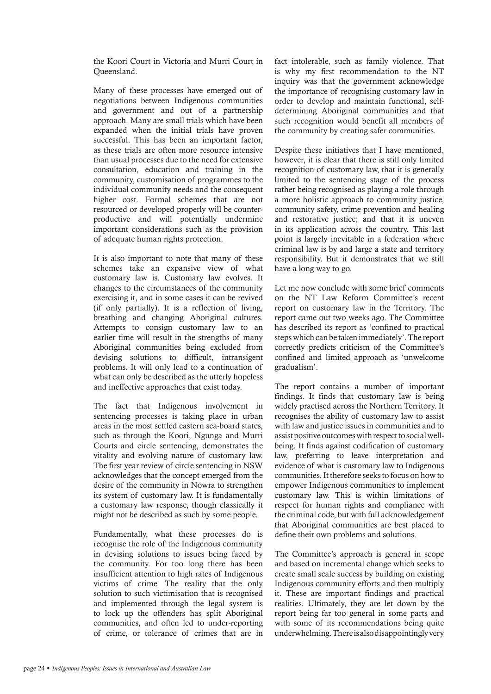the Koori Court in Victoria and Murri Court in Queensland.

Many of these processes have emerged out of negotiations between Indigenous communities and government and out of a partnership approach. Many are small trials which have been expanded when the initial trials have proven successful. This has been an important factor, as these trials are often more resource intensive than usual processes due to the need for extensive consultation, education and training in the community, customisation of programmes to the individual community needs and the consequent higher cost. Formal schemes that are not resourced or developed properly will be counterproductive and will potentially undermine important considerations such as the provision of adequate human rights protection.

It is also important to note that many of these schemes take an expansive view of what customary law is. Customary law evolves. It changes to the circumstances of the community exercising it, and in some cases it can be revived (if only partially). It is a reflection of living, breathing and changing Aboriginal cultures. Attempts to consign customary law to an earlier time will result in the strengths of many Aboriginal communities being excluded from devising solutions to difficult, intransigent problems. It will only lead to a continuation of what can only be described as the utterly hopeless and ineffective approaches that exist today.

The fact that Indigenous involvement in sentencing processes is taking place in urban areas in the most settled eastern sea-board states, such as through the Koori, Ngunga and Murri Courts and circle sentencing, demonstrates the vitality and evolving nature of customary law. The first year review of circle sentencing in NSW acknowledges that the concept emerged from the desire of the community in Nowra to strengthen its system of customary law. It is fundamentally a customary law response, though classically it might not be described as such by some people.

Fundamentally, what these processes do is recognise the role of the Indigenous community in devising solutions to issues being faced by the community. For too long there has been insufficient attention to high rates of Indigenous victims of crime. The reality that the only solution to such victimisation that is recognised and implemented through the legal system is to lock up the offenders has split Aboriginal communities, and often led to under-reporting of crime, or tolerance of crimes that are in

fact intolerable, such as family violence. That is why my first recommendation to the NT inquiry was that the government acknowledge the importance of recognising customary law in order to develop and maintain functional, selfdetermining Aboriginal communities and that such recognition would benefit all members of the community by creating safer communities.

Despite these initiatives that I have mentioned, however, it is clear that there is still only limited recognition of customary law, that it is generally limited to the sentencing stage of the process rather being recognised as playing a role through a more holistic approach to community justice, community safety, crime prevention and healing and restorative justice; and that it is uneven in its application across the country. This last point is largely inevitable in a federation where criminal law is by and large a state and territory responsibility. But it demonstrates that we still have a long way to go.

Let me now conclude with some brief comments on the NT Law Reform Committee's recent report on customary law in the Territory. The report came out two weeks ago. The Committee has described its report as 'confined to practical steps which can be taken immediately'. The report correctly predicts criticism of the Committee's confined and limited approach as 'unwelcome gradualism'.

The report contains a number of important findings. It finds that customary law is being widely practised across the Northern Territory. It recognises the ability of customary law to assist with law and justice issues in communities and to assist positive outcomes with respect to social wellbeing. It finds against codification of customary law, preferring to leave interpretation and evidence of what is customary law to Indigenous communities. It therefore seeks to focus on how to empower Indigenous communities to implement customary law. This is within limitations of respect for human rights and compliance with the criminal code, but with full acknowledgement that Aboriginal communities are best placed to define their own problems and solutions.

The Committee's approach is general in scope and based on incremental change which seeks to create small scale success by building on existing Indigenous community efforts and then multiply it. These are important findings and practical realities. Ultimately, they are let down by the report being far too general in some parts and with some of its recommendations being quite underwhelming. There is also disappointingly very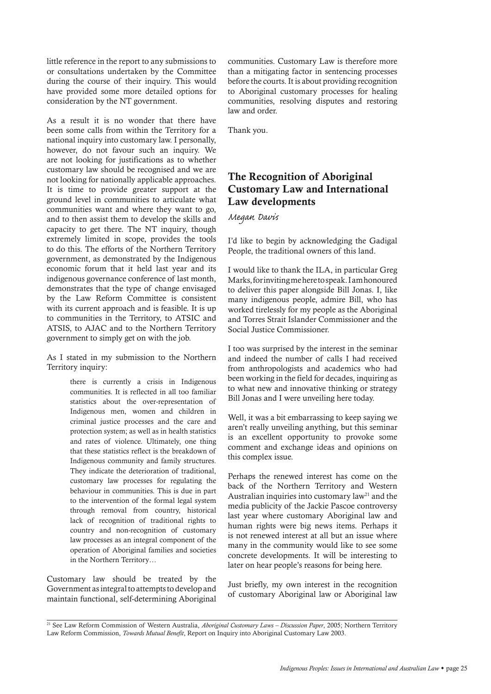little reference in the report to any submissions to or consultations undertaken by the Committee during the course of their inquiry. This would have provided some more detailed options for consideration by the NT government.

As a result it is no wonder that there have been some calls from within the Territory for a national inquiry into customary law. I personally, however, do not favour such an inquiry. We are not looking for justifications as to whether customary law should be recognised and we are not looking for nationally applicable approaches. It is time to provide greater support at the ground level in communities to articulate what communities want and where they want to go, and to then assist them to develop the skills and capacity to get there. The NT inquiry, though extremely limited in scope, provides the tools to do this. The efforts of the Northern Territory government, as demonstrated by the Indigenous economic forum that it held last year and its indigenous governance conference of last month, demonstrates that the type of change envisaged by the Law Reform Committee is consistent with its current approach and is feasible. It is up to communities in the Territory, to ATSIC and ATSIS, to AJAC and to the Northern Territory government to simply get on with the job.

As I stated in my submission to the Northern Territory inquiry:

> there is currently a crisis in Indigenous communities. It is reflected in all too familiar statistics about the over-representation of Indigenous men, women and children in criminal justice processes and the care and protection system; as well as in health statistics and rates of violence. Ultimately, one thing that these statistics reflect is the breakdown of Indigenous community and family structures. They indicate the deterioration of traditional, customary law processes for regulating the behaviour in communities. This is due in part to the intervention of the formal legal system through removal from country, historical lack of recognition of traditional rights to country and non-recognition of customary law processes as an integral component of the operation of Aboriginal families and societies in the Northern Territory…

Customary law should be treated by the Government as integral to attempts to develop and maintain functional, self-determining Aboriginal communities. Customary Law is therefore more than a mitigating factor in sentencing processes before the courts. It is about providing recognition to Aboriginal customary processes for healing communities, resolving disputes and restoring law and order.

Thank you.

## The Recognition of Aboriginal Customary Law and International Law developments

*Megan Davis*

I'd like to begin by acknowledging the Gadigal People, the traditional owners of this land.

I would like to thank the ILA, in particular Greg Marks, for inviting me here to speak. I am honoured to deliver this paper alongside Bill Jonas. I, like many indigenous people, admire Bill, who has worked tirelessly for my people as the Aboriginal and Torres Strait Islander Commissioner and the Social Justice Commissioner.

I too was surprised by the interest in the seminar and indeed the number of calls I had received from anthropologists and academics who had been working in the field for decades, inquiring as to what new and innovative thinking or strategy Bill Jonas and I were unveiling here today.

Well, it was a bit embarrassing to keep saying we aren't really unveiling anything, but this seminar is an excellent opportunity to provoke some comment and exchange ideas and opinions on this complex issue.

Perhaps the renewed interest has come on the back of the Northern Territory and Western Australian inquiries into customary law<sup>21</sup> and the media publicity of the Jackie Pascoe controversy last year where customary Aboriginal law and human rights were big news items. Perhaps it is not renewed interest at all but an issue where many in the community would like to see some concrete developments. It will be interesting to later on hear people's reasons for being here.

Just briefly, my own interest in the recognition of customary Aboriginal law or Aboriginal law

<sup>21</sup> See Law Reform Commission of Western Australia, *Aboriginal Customary Laws – Discussion Paper*, 2005; Northern Territory Law Reform Commission, *Towards Mutual Benefit*, Report on Inquiry into Aboriginal Customary Law 2003.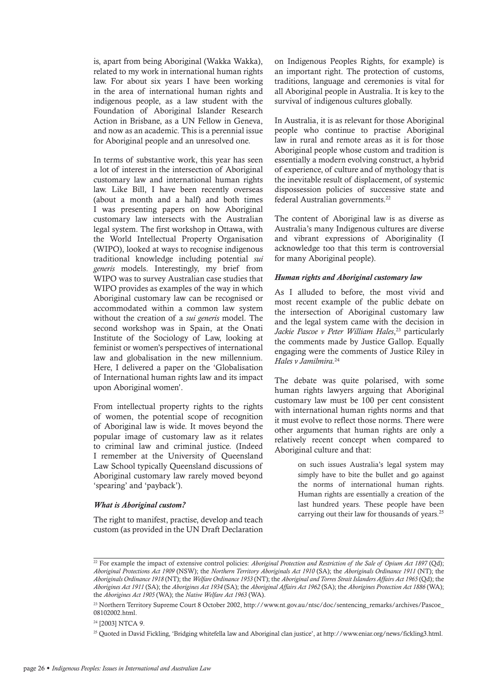is, apart from being Aboriginal (Wakka Wakka), related to my work in international human rights law. For about six years I have been working in the area of international human rights and indigenous people, as a law student with the Foundation of Aboriginal Islander Research Action in Brisbane, as a UN Fellow in Geneva, and now as an academic. This is a perennial issue for Aboriginal people and an unresolved one.

In terms of substantive work, this year has seen a lot of interest in the intersection of Aboriginal customary law and international human rights law. Like Bill, I have been recently overseas (about a month and a half) and both times I was presenting papers on how Aboriginal customary law intersects with the Australian legal system. The first workshop in Ottawa, with the World Intellectual Property Organisation (WIPO), looked at ways to recognise indigenous traditional knowledge including potential *sui generis* models. Interestingly, my brief from WIPO was to survey Australian case studies that WIPO provides as examples of the way in which Aboriginal customary law can be recognised or accommodated within a common law system without the creation of a *sui generis* model. The second workshop was in Spain, at the Onati Institute of the Sociology of Law, looking at feminist or women's perspectives of international law and globalisation in the new millennium. Here, I delivered a paper on the 'Globalisation of International human rights law and its impact upon Aboriginal women'.

From intellectual property rights to the rights of women, the potential scope of recognition of Aboriginal law is wide. It moves beyond the popular image of customary law as it relates to criminal law and criminal justice. (Indeed I remember at the University of Queensland Law School typically Queensland discussions of Aboriginal customary law rarely moved beyond 'spearing' and 'payback').

#### *What is Aboriginal custom?*

The right to manifest, practise, develop and teach custom (as provided in the UN Draft Declaration

on Indigenous Peoples Rights, for example) is an important right. The protection of customs, traditions, language and ceremonies is vital for all Aboriginal people in Australia. It is key to the survival of indigenous cultures globally.

In Australia, it is as relevant for those Aboriginal people who continue to practise Aboriginal law in rural and remote areas as it is for those Aboriginal people whose custom and tradition is essentially a modern evolving construct, a hybrid of experience, of culture and of mythology that is the inevitable result of displacement, of systemic dispossession policies of successive state and federal Australian governments.22

The content of Aboriginal law is as diverse as Australia's many Indigenous cultures are diverse and vibrant expressions of Aboriginality (I acknowledge too that this term is controversial for many Aboriginal people).

#### *Human rights and Aboriginal customary law*

As I alluded to before, the most vivid and most recent example of the public debate on the intersection of Aboriginal customary law and the legal system came with the decision in *Jackie Pascoe v Peter William Hales*, <sup>23</sup> particularly the comments made by Justice Gallop. Equally engaging were the comments of Justice Riley in *Hales v Jamilmira.*<sup>24</sup>

The debate was quite polarised, with some human rights lawyers arguing that Aboriginal customary law must be 100 per cent consistent with international human rights norms and that it must evolve to reflect those norms. There were other arguments that human rights are only a relatively recent concept when compared to Aboriginal culture and that:

> on such issues Australia's legal system may simply have to bite the bullet and go against the norms of international human rights. Human rights are essentially a creation of the last hundred years. These people have been carrying out their law for thousands of years.25

<sup>&</sup>lt;sup>22</sup> For example the impact of extensive control policies: *Aboriginal Protection and Restriction of the Sale of Opium Act 1897* (Qd); *Aboriginal Protections Act 1909* (NSW); the *Northern Territory Aboriginals Act 1910* (SA); the *Aboriginals Ordinance 1911* (NT); the *Aboriginals Ordinance 1918* (NT); the *Welfare Ordinance 1953* (NT); the *Aboriginal and Torres Strait Islanders Affairs Act 1965* (Qd); the *Aborigines Act 1911* (SA); the *Aborigines Act 1934* (SA); the *Aboriginal Affairs Act 1962* (SA); the *Aborigines Protection Act 1886* (WA); the *Aborigines Act 1905* (WA); the *Native Welfare Act 1963* (WA).

<sup>23</sup> Northern Territory Supreme Court 8 October 2002, http://www.nt.gov.au/ntsc/doc/sentencing\_remarks/archives/Pascoe\_ 08102002.html.

<sup>24 [2003]</sup> NTCA 9.

<sup>25</sup> Quoted in David Fickling, 'Bridging whitefella law and Aboriginal clan justice', at http://www.eniar.org/news/fickling3.html.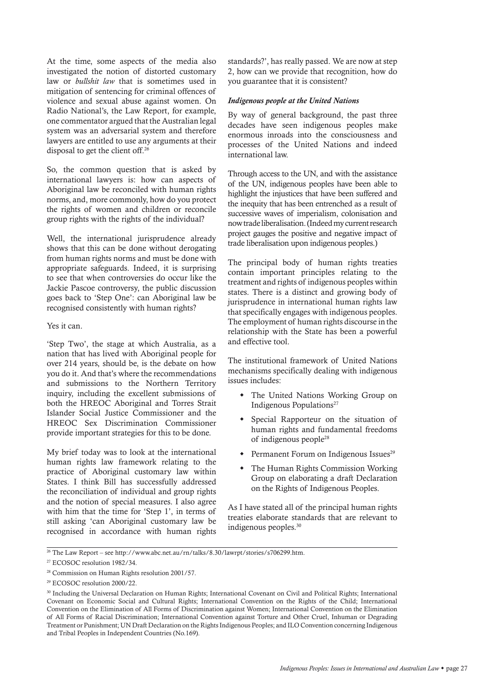At the time, some aspects of the media also investigated the notion of distorted customary law or *bullshit law* that is sometimes used in mitigation of sentencing for criminal offences of violence and sexual abuse against women. On Radio National's, the Law Report, for example, one commentator argued that the Australian legal system was an adversarial system and therefore lawyers are entitled to use any arguments at their disposal to get the client off.26

So, the common question that is asked by international lawyers is: how can aspects of Aboriginal law be reconciled with human rights norms, and, more commonly, how do you protect the rights of women and children or reconcile group rights with the rights of the individual?

Well, the international jurisprudence already shows that this can be done without derogating from human rights norms and must be done with appropriate safeguards. Indeed, it is surprising to see that when controversies do occur like the Jackie Pascoe controversy, the public discussion goes back to 'Step One': can Aboriginal law be recognised consistently with human rights?

Yes it can.

'Step Two', the stage at which Australia, as a nation that has lived with Aboriginal people for over 214 years, should be, is the debate on how you do it. And that's where the recommendations and submissions to the Northern Territory inquiry, including the excellent submissions of both the HREOC Aboriginal and Torres Strait Islander Social Justice Commissioner and the HREOC Sex Discrimination Commissioner provide important strategies for this to be done.

My brief today was to look at the international human rights law framework relating to the practice of Aboriginal customary law within States. I think Bill has successfully addressed the reconciliation of individual and group rights and the notion of special measures. I also agree with him that the time for 'Step 1', in terms of still asking 'can Aboriginal customary law be recognised in accordance with human rights standards?', has really passed. We are now at step 2, how can we provide that recognition, how do you guarantee that it is consistent?

#### *Indigenous people at the United Nations*

By way of general background, the past three decades have seen indigenous peoples make enormous inroads into the consciousness and processes of the United Nations and indeed international law.

Through access to the UN, and with the assistance of the UN, indigenous peoples have been able to highlight the injustices that have been suffered and the inequity that has been entrenched as a result of successive waves of imperialism, colonisation and now trade liberalisation. (Indeed my current research project gauges the positive and negative impact of trade liberalisation upon indigenous peoples.)

The principal body of human rights treaties contain important principles relating to the treatment and rights of indigenous peoples within states. There is a distinct and growing body of jurisprudence in international human rights law that specifically engages with indigenous peoples. The employment of human rights discourse in the relationship with the State has been a powerful and effective tool.

The institutional framework of United Nations mechanisms specifically dealing with indigenous issues includes:

- The United Nations Working Group on Indigenous Populations<sup>27</sup>
- Special Rapporteur on the situation of human rights and fundamental freedoms of indigenous people28
- Permanent Forum on Indigenous Issues<sup>29</sup>
- The Human Rights Commission Working Group on elaborating a draft Declaration on the Rights of Indigenous Peoples.

As I have stated all of the principal human rights treaties elaborate standards that are relevant to indigenous peoples.30

<sup>&</sup>lt;sup>26</sup> The Law Report – see http://www.abc.net.au/rn/talks/8.30/lawrpt/stories/s706299.htm.

<sup>&</sup>lt;sup>27</sup> ECOSOC resolution 1982/34.

<sup>28</sup> Commission on Human Rights resolution 2001/57.

<sup>29</sup> ECOSOC resolution 2000/22.

<sup>30</sup> Including the Universal Declaration on Human Rights; International Covenant on Civil and Political Rights; International Covenant on Economic Social and Cultural Rights; International Convention on the Rights of the Child; International Convention on the Elimination of All Forms of Discrimination against Women; International Convention on the Elimination of All Forms of Racial Discrimination; International Convention against Torture and Other Cruel, Inhuman or Degrading Treatment or Punishment; UN Draft Declaration on the Rights Indigenous Peoples; and ILO Convention concerning Indigenous and Tribal Peoples in Independent Countries (No.169).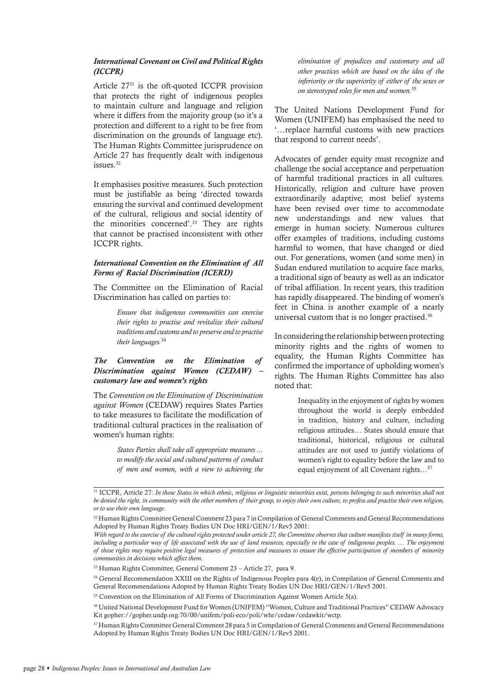## *International Covenant on Civil and Political Rights (ICCPR)*

Article 27<sup>31</sup> is the oft-quoted ICCPR provision that protects the right of indigenous peoples to maintain culture and language and religion where it differs from the majority group (so it's a protection and different to a right to be free from discrimination on the grounds of language etc). The Human Rights Committee jurisprudence on Article 27 has frequently dealt with indigenous issues.32

It emphasises positive measures. Such protection must be justifiable as being 'directed towards ensuring the survival and continued development of the cultural, religious and social identity of the minorities concerned'.33 They are rights that cannot be practised inconsistent with other ICCPR rights.

## *International Convention on the Elimination of All Forms of Racial Discrimination (ICERD)*

The Committee on the Elimination of Racial Discrimination has called on parties to:

> *Ensure that indigenous communities can exercise their rights to practise and revitalize their cultural traditions and customs and to preserve and to practise their languages.*<sup>34</sup>

## *The Convention on the Elimination of Discrimination against Women (CEDAW) customary law and women's rights*

The *Convention on the Elimination of Discrimination against Women* (CEDAW) requires States Parties to take measures to facilitate the modification of traditional cultural practices in the realisation of women's human rights:

> *States Parties shall take all appropriate measures ... to modify the social and cultural patterns of conduct of men and women, with a view to achieving the*

*elimination of prejudices and customary and all other practices which are based on the idea of the inferiority or the superiority of either of the sexes or on stereotyped roles for men and women.*<sup>35</sup>

The United Nations Development Fund for Women (UNIFEM) has emphasised the need to '…replace harmful customs with new practices that respond to current needs'.

Advocates of gender equity must recognize and challenge the social acceptance and perpetuation of harmful traditional practices in all cultures. Historically, religion and culture have proven extraordinarily adaptive; most belief systems have been revised over time to accommodate new understandings and new values that emerge in human society. Numerous cultures offer examples of traditions, including customs harmful to women, that have changed or died out. For generations, women (and some men) in Sudan endured mutilation to acquire face marks, a traditional sign of beauty as well as an indicator of tribal affiliation. In recent years, this tradition has rapidly disappeared. The binding of women's feet in China is another example of a nearly universal custom that is no longer practised.36

In considering the relationship between protecting minority rights and the rights of women to equality, the Human Rights Committee has confirmed the importance of upholding women's rights. The Human Rights Committee has also noted that:

> Inequality in the enjoyment of rights by women throughout the world is deeply embedded in tradition, history and culture, including religious attitudes… States should ensure that traditional, historical, religious or cultural attitudes are not used to justify violations of women's right to equality before the law and to equal enjoyment of all Covenant rights…37

<sup>31</sup> ICCPR, Article 27: *In those States in which ethnic, religious or linguistic minorities exist, persons belonging to such minorities shall not be denied the right, in community with the other members of their group, to enjoy their own culture, to profess and practise their own religion, or to use their own language.*

<sup>32</sup> Human Rights Committee General Comment 23 para 7 in Compilation of General Comments and General Recommendations Adopted by Human Rights Treaty Bodies UN Doc HRI/GEN/1/Rev5 2001:

*With regard to the exercise of the cultural rights protected under article 27, the Committee observes that culture manifests itself in many forms,*  including a particular way of life associated with the use of land resources, especially in the case of indigenous peoples. ... The enjoyment *of those rights may require positive legal measures of protection and measures to ensure the effective participation of members of minority communities in decisions which affect them.*

<sup>33</sup> Human Rights Committee, General Comment 23 – Article 27, para 9.

<sup>34</sup> General Recommendation XXIII on the Rights of Indigenous Peoples para 4(e), in Compilation of General Comments and General Recommendations Adopted by Human Rights Treaty Bodies UN Doc HRI/GEN/1/Rev5 2001.

<sup>&</sup>lt;sup>35</sup> Convention on the Elimination of All Forms of Discrimination Against Women Article 5(a).

<sup>36</sup> United National Development Fund for Women (UNIFEM) "Women, Culture and Traditional Practices" CEDAW Advocacy Kit gopher://gopher.undp.org:70/00/unifem/poli-eco/poli/whr/cedaw/cedawkit/wctp.

<sup>37</sup> Human Rights Committee General Comment 28 para 5 in Compilation of General Comments and General Recommendations Adopted by Human Rights Treaty Bodies UN Doc HRI/GEN/1/Rev5 2001.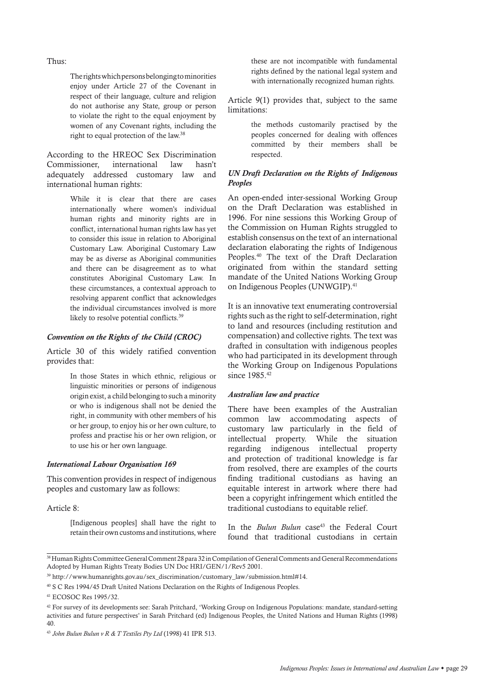Thus:

The rights which persons belonging to minorities enjoy under Article 27 of the Covenant in respect of their language, culture and religion do not authorise any State, group or person to violate the right to the equal enjoyment by women of any Covenant rights, including the right to equal protection of the law.38

According to the HREOC Sex Discrimination Commissioner, international law hasn't adequately addressed customary law and international human rights:

> While it is clear that there are cases internationally where women's individual human rights and minority rights are in conflict, international human rights law has yet to consider this issue in relation to Aboriginal Customary Law. Aboriginal Customary Law may be as diverse as Aboriginal communities and there can be disagreement as to what constitutes Aboriginal Customary Law. In these circumstances, a contextual approach to resolving apparent conflict that acknowledges the individual circumstances involved is more likely to resolve potential conflicts.<sup>39</sup>

#### *Convention on the Rights of the Child (CROC)*

Article 30 of this widely ratified convention provides that:

> In those States in which ethnic, religious or linguistic minorities or persons of indigenous origin exist, a child belonging to such a minority or who is indigenous shall not be denied the right, in community with other members of his or her group, to enjoy his or her own culture, to profess and practise his or her own religion, or to use his or her own language.

#### *International Labour Organisation 169*

This convention provides in respect of indigenous peoples and customary law as follows:

Article 8:

[Indigenous peoples] shall have the right to retain their own customs and institutions, where these are not incompatible with fundamental rights defined by the national legal system and with internationally recognized human rights.

Article 9(1) provides that, subject to the same limitations:

> the methods customarily practised by the peoples concerned for dealing with offences committed by their members shall be respected.

## *UN Draft Declaration on the Rights of Indigenous Peoples*

An open-ended inter-sessional Working Group on the Draft Declaration was established in 1996. For nine sessions this Working Group of the Commission on Human Rights struggled to establish consensus on the text of an international declaration elaborating the rights of Indigenous Peoples.40 The text of the Draft Declaration originated from within the standard setting mandate of the United Nations Working Group on Indigenous Peoples (UNWGIP).41

It is an innovative text enumerating controversial rights such as the right to self-determination, right to land and resources (including restitution and compensation) and collective rights. The text was drafted in consultation with indigenous peoples who had participated in its development through the Working Group on Indigenous Populations since 1985.<sup>42</sup>

## *Australian law and practice*

There have been examples of the Australian common law accommodating aspects of customary law particularly in the field of intellectual property. While the situation regarding indigenous intellectual property and protection of traditional knowledge is far from resolved, there are examples of the courts finding traditional custodians as having an equitable interest in artwork where there had been a copyright infringement which entitled the traditional custodians to equitable relief.

In the *Bulun Bulun* case<sup>43</sup> the Federal Court found that traditional custodians in certain

<sup>38</sup> Human Rights Committee General Comment 28 para 32 in Compilation of General Comments and General Recommendations Adopted by Human Rights Treaty Bodies UN Doc HRI/GEN/1/Rev5 2001.

<sup>39</sup> http://www.humanrights.gov.au/sex\_discrimination/customary\_law/submission.html#14.

<sup>40</sup> S C Res 1994/45 Draft United Nations Declaration on the Rights of Indigenous Peoples.

<sup>41</sup> ECOSOC Res 1995/32.

<sup>42</sup> For survey of its developments see: Sarah Pritchard, 'Working Group on Indigenous Populations: mandate, standard-setting activities and future perspectives' in Sarah Pritchard (ed) Indigenous Peoples, the United Nations and Human Rights (1998) 40.

<sup>43</sup> *John Bulun Bulun v R & T Textiles Pty Ltd* (1998) 41 IPR 513.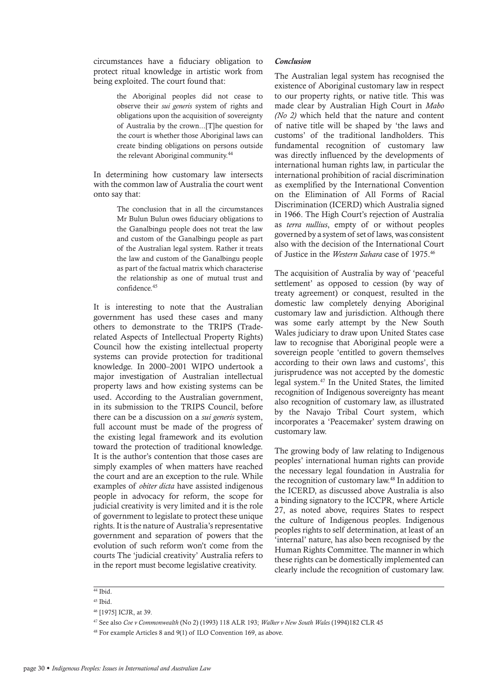circumstances have a fiduciary obligation to protect ritual knowledge in artistic work from being exploited. The court found that:

> the Aboriginal peoples did not cease to observe their *sui generis* system of rights and obligations upon the acquisition of sovereignty of Australia by the crown...[T]he question for the court is whether those Aboriginal laws can create binding obligations on persons outside the relevant Aboriginal community.<sup>44</sup>

In determining how customary law intersects with the common law of Australia the court went onto say that:

> The conclusion that in all the circumstances Mr Bulun Bulun owes fiduciary obligations to the Ganalbingu people does not treat the law and custom of the Ganalbingu people as part of the Australian legal system. Rather it treats the law and custom of the Ganalbingu people as part of the factual matrix which characterise the relationship as one of mutual trust and confidence.45

It is interesting to note that the Australian government has used these cases and many others to demonstrate to the TRIPS (Traderelated Aspects of Intellectual Property Rights) Council how the existing intellectual property systems can provide protection for traditional knowledge. In 2000–2001 WIPO undertook a major investigation of Australian intellectual property laws and how existing systems can be used. According to the Australian government, in its submission to the TRIPS Council, before there can be a discussion on a *sui generis* system, full account must be made of the progress of the existing legal framework and its evolution toward the protection of traditional knowledge. It is the author's contention that those cases are simply examples of when matters have reached the court and are an exception to the rule. While examples of *obiter dicta* have assisted indigenous people in advocacy for reform, the scope for judicial creativity is very limited and it is the role of government to legislate to protect these unique rights. It is the nature of Australia's representative government and separation of powers that the evolution of such reform won't come from the courts The 'judicial creativity' Australia refers to in the report must become legislative creativity.

#### *Conclusion*

The Australian legal system has recognised the existence of Aboriginal customary law in respect to our property rights, or native title. This was made clear by Australian High Court in *Mabo (No 2)* which held that the nature and content of native title will be shaped by 'the laws and customs' of the traditional landholders. This fundamental recognition of customary law was directly influenced by the developments of international human rights law, in particular the international prohibition of racial discrimination as exemplified by the International Convention on the Elimination of All Forms of Racial Discrimination (ICERD) which Australia signed in 1966. The High Court's rejection of Australia as *terra nullius*, empty of or without peoples governed by a system of set of laws, was consistent also with the decision of the International Court of Justice in the *Western Sahara* case of 1975.46

The acquisition of Australia by way of 'peaceful settlement' as opposed to cession (by way of treaty agreement) or conquest, resulted in the domestic law completely denying Aboriginal customary law and jurisdiction. Although there was some early attempt by the New South Wales judiciary to draw upon United States case law to recognise that Aboriginal people were a sovereign people 'entitled to govern themselves according to their own laws and customs', this jurisprudence was not accepted by the domestic legal system.47 In the United States, the limited recognition of Indigenous sovereignty has meant also recognition of customary law, as illustrated by the Navajo Tribal Court system, which incorporates a 'Peacemaker' system drawing on customary law.

The growing body of law relating to Indigenous peoples' international human rights can provide the necessary legal foundation in Australia for the recognition of customary law.48 In addition to the ICERD, as discussed above Australia is also a binding signatory to the ICCPR, where Article 27, as noted above, requires States to respect the culture of Indigenous peoples. Indigenous peoples rights to self determination, at least of an 'internal' nature, has also been recognised by the Human Rights Committee. The manner in which these rights can be domestically implemented can clearly include the recognition of customary law.

 $44$  Ibid.

<sup>45</sup> Ibid.

<sup>46 [1975]</sup> ICJR, at 39.

<sup>47</sup> See also *Coe v Commonwealth* (No 2) (1993) 118 ALR 193; *Walker v New South Wales* (1994)182 CLR 45

<sup>48</sup> For example Articles 8 and 9(1) of ILO Convention 169, as above.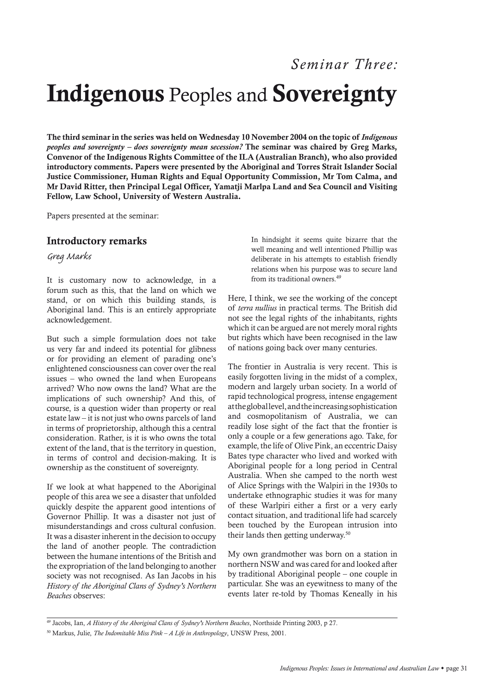## *Seminar Three:* Indigenous Peoples and Sovereignty

The third seminar in the series was held on Wednesday 10 November 2004 on the topic of *Indigenous peoples and sovereignty – does sovereignty mean secession?* The seminar was chaired by Greg Marks, Convenor of the Indigenous Rights Committee of the ILA (Australian Branch), who also provided introductory comments. Papers were presented by the Aboriginal and Torres Strait Islander Social Justice Commissioner, Human Rights and Equal Opportunity Commission, Mr Tom Calma, and Mr David Ritter, then Principal Legal Officer, Yamatji Marlpa Land and Sea Council and Visiting Fellow, Law School, University of Western Australia.

Papers presented at the seminar:

## Introductory remarks

*Greg Marks*

It is customary now to acknowledge, in a forum such as this, that the land on which we stand, or on which this building stands, is Aboriginal land. This is an entirely appropriate acknowledgement.

But such a simple formulation does not take us very far and indeed its potential for glibness or for providing an element of parading one's enlightened consciousness can cover over the real issues – who owned the land when Europeans arrived? Who now owns the land? What are the implications of such ownership? And this, of course, is a question wider than property or real estate law – it is not just who owns parcels of land in terms of proprietorship, although this a central consideration. Rather, is it is who owns the total extent of the land, that is the territory in question, in terms of control and decision-making. It is ownership as the constituent of sovereignty.

If we look at what happened to the Aboriginal people of this area we see a disaster that unfolded quickly despite the apparent good intentions of Governor Phillip. It was a disaster not just of misunderstandings and cross cultural confusion. It was a disaster inherent in the decision to occupy the land of another people. The contradiction between the humane intentions of the British and the expropriation of the land belonging to another society was not recognised. As Ian Jacobs in his *History of the Aboriginal Clans of Sydney's Northern Beaches* observes:

In hindsight it seems quite bizarre that the well meaning and well intentioned Phillip was deliberate in his attempts to establish friendly relations when his purpose was to secure land from its traditional owners.49

Here, I think, we see the working of the concept of *terra nullius* in practical terms. The British did not see the legal rights of the inhabitants, rights which it can be argued are not merely moral rights but rights which have been recognised in the law of nations going back over many centuries.

The frontier in Australia is very recent. This is easily forgotten living in the midst of a complex, modern and largely urban society. In a world of rapid technological progress, intense engagement at the global level, and the increasing sophistication and cosmopolitanism of Australia, we can readily lose sight of the fact that the frontier is only a couple or a few generations ago. Take, for example, the life of Olive Pink, an eccentric Daisy Bates type character who lived and worked with Aboriginal people for a long period in Central Australia. When she camped to the north west of Alice Springs with the Walpiri in the 1930s to undertake ethnographic studies it was for many of these Warlpiri either a first or a very early contact situation, and traditional life had scarcely been touched by the European intrusion into their lands then getting underway.50

My own grandmother was born on a station in northern NSW and was cared for and looked after by traditional Aboriginal people – one couple in particular. She was an eyewitness to many of the events later re-told by Thomas Keneally in his

<sup>&</sup>lt;sup>49</sup> Jacobs, Ian, *A History of the Aboriginal Clans of Sydney's Northern Beaches*, Northside Printing 2003, p 27.

<sup>50</sup> Markus, Julie, *The Indomitable Miss Pink – A Life in Anthropology*, UNSW Press, 2001.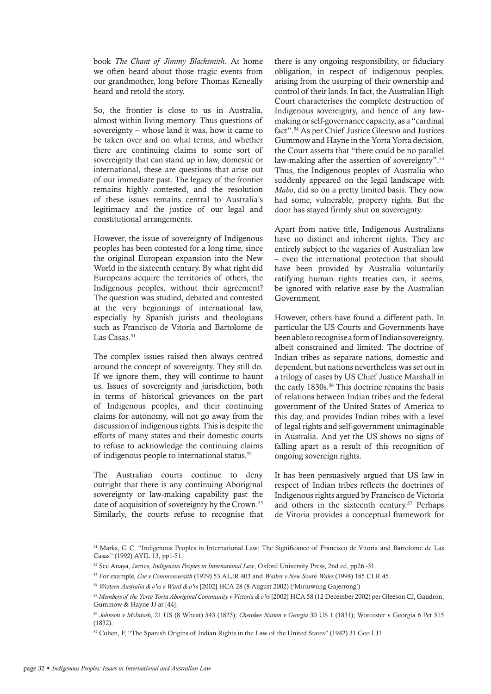book *The Chant of Jimmy Blacksmith*. At home we often heard about those tragic events from our grandmother, long before Thomas Keneally heard and retold the story.

So, the frontier is close to us in Australia, almost within living memory. Thus questions of sovereignty – whose land it was, how it came to be taken over and on what terms, and whether there are continuing claims to some sort of sovereignty that can stand up in law, domestic or international, these are questions that arise out of our immediate past. The legacy of the frontier remains highly contested, and the resolution of these issues remains central to Australia's legitimacy and the justice of our legal and constitutional arrangements.

However, the issue of sovereignty of Indigenous peoples has been contested for a long time, since the original European expansion into the New World in the sixteenth century. By what right did Europeans acquire the territories of others, the Indigenous peoples, without their agreement? The question was studied, debated and contested at the very beginnings of international law, especially by Spanish jurists and theologians such as Francisco de Vitoria and Bartolome de Las Casas.<sup>51</sup>

The complex issues raised then always centred around the concept of sovereignty. They still do. If we ignore them, they will continue to haunt us. Issues of sovereignty and jurisdiction, both in terms of historical grievances on the part of Indigenous peoples, and their continuing claims for autonomy, will not go away from the discussion of indigenous rights. This is despite the efforts of many states and their domestic courts to refuse to acknowledge the continuing claims of indigenous people to international status.52

The Australian courts continue to deny outright that there is any continuing Aboriginal sovereignty or law-making capability past the date of acquisition of sovereignty by the Crown.<sup>53</sup> Similarly, the courts refuse to recognise that

there is any ongoing responsibility, or fiduciary obligation, in respect of indigenous peoples, arising from the usurping of their ownership and control of their lands. In fact, the Australian High Court characterises the complete destruction of Indigenous sovereignty, and hence of any lawmaking or self-governance capacity, as a "cardinal fact".54 As per Chief Justice Gleeson and Justices Gummow and Hayne in the Yorta Yorta decision, the Court asserts that "there could be no parallel law-making after the assertion of sovereignty".<sup>55</sup> Thus, the Indigenous peoples of Australia who suddenly appeared on the legal landscape with *Mabo*, did so on a pretty limited basis. They now had some, vulnerable, property rights. But the door has stayed firmly shut on sovereignty.

Apart from native title, Indigenous Australians have no distinct and inherent rights. They are entirely subject to the vagaries of Australian law – even the international protection that should have been provided by Australia voluntarily ratifying human rights treaties can, it seems, be ignored with relative ease by the Australian Government.

However, others have found a different path. In particular the US Courts and Governments have been able to recognise a form of Indian sovereignty, albeit constrained and limited. The doctrine of Indian tribes as separate nations, domestic and dependent, but nations nevertheless was set out in a trilogy of cases by US Chief Justice Marshall in the early 1830s.56 This doctrine remains the basis of relations between Indian tribes and the federal government of the United States of America to this day, and provides Indian tribes with a level of legal rights and self-government unimaginable in Australia. And yet the US shows no signs of falling apart as a result of this recognition of ongoing sovereign rights.

It has been persuasively argued that US law in respect of Indian tribes reflects the doctrines of Indigenous rights argued by Francisco de Victoria and others in the sixteenth century.<sup>57</sup> Perhaps de Vitoria provides a conceptual framework for

<sup>&</sup>lt;sup>51</sup> Marks, G C, "Indigenous Peoples in International Law: The Significance of Francisco de Vitoria and Bartolome de Las Casas" (1992) AYIL 13, pp1-51.

<sup>52</sup> See Anaya, James, *Indigenous Peoples in International Law*, Oxford University Press, 2nd ed, pp26 -31.

<sup>53</sup> For example, *Coe v Commonwealth* (1979) 53 ALJR 403 and *Walker v New South Wales* (1994) 185 CLR 45.

<sup>54</sup> *Western Australia & o'rs v Ward & o'rs* [2002] HCA 28 (8 August 2002) ('Miriuwung Gajerrong')

<sup>55</sup> *Members of the Yorta Yorta Aboriginal Community v Victoria & o'rs* [2002] HCA 58 (12 December 2002) per Gleeson CJ, Gaudron, Gummow & Hayne JJ at [44].

<sup>56</sup> *Johnson v McIntosh*, 21 US (8 Wheat) 543 (1823); *Cherokee Nation v Georgia* 30 US 1 (1831); Worcester v Georgia 6 Pet 515 (1832).

<sup>57</sup> Cohen, F, "The Spanish Origins of Indian Rights in the Law of the United States" (1942) 31 Geo LJ1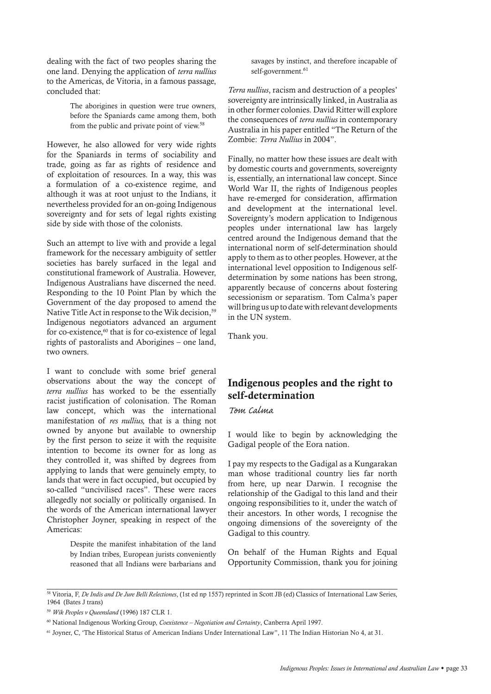dealing with the fact of two peoples sharing the one land. Denying the application of *terra nullius* to the Americas, de Vitoria, in a famous passage, concluded that:

> The aborigines in question were true owners, before the Spaniards came among them, both from the public and private point of view.<sup>58</sup>

However, he also allowed for very wide rights for the Spaniards in terms of sociability and trade, going as far as rights of residence and of exploitation of resources. In a way, this was a formulation of a co-existence regime, and although it was at root unjust to the Indians, it nevertheless provided for an on-going Indigenous sovereignty and for sets of legal rights existing side by side with those of the colonists.

Such an attempt to live with and provide a legal framework for the necessary ambiguity of settler societies has barely surfaced in the legal and constitutional framework of Australia. However, Indigenous Australians have discerned the need. Responding to the 10 Point Plan by which the Government of the day proposed to amend the Native Title Act in response to the Wik decision,<sup>59</sup> Indigenous negotiators advanced an argument for co-existence,<sup>60</sup> that is for co-existence of legal rights of pastoralists and Aborigines – one land, two owners.

I want to conclude with some brief general observations about the way the concept of *terra nullius* has worked to be the essentially racist justification of colonisation. The Roman law concept, which was the international manifestation of *res nullius,* that is a thing not owned by anyone but available to ownership by the first person to seize it with the requisite intention to become its owner for as long as they controlled it, was shifted by degrees from applying to lands that were genuinely empty, to lands that were in fact occupied, but occupied by so-called "uncivilised races". These were races allegedly not socially or politically organised. In the words of the American international lawyer Christopher Joyner, speaking in respect of the Americas:

> Despite the manifest inhabitation of the land by Indian tribes, European jurists conveniently reasoned that all Indians were barbarians and

savages by instinct, and therefore incapable of self-government.<sup>61</sup>

*Terra nullius*, racism and destruction of a peoples' sovereignty are intrinsically linked, in Australia as in other former colonies. David Ritter will explore the consequences of *terra nullius* in contemporary Australia in his paper entitled "The Return of the Zombie: *Terra Nullius* in 2004".

Finally, no matter how these issues are dealt with by domestic courts and governments, sovereignty is, essentially, an international law concept. Since World War II, the rights of Indigenous peoples have re-emerged for consideration, affirmation and development at the international level. Sovereignty's modern application to Indigenous peoples under international law has largely centred around the Indigenous demand that the international norm of self-determination should apply to them as to other peoples. However, at the international level opposition to Indigenous selfdetermination by some nations has been strong, apparently because of concerns about fostering secessionism or separatism. Tom Calma's paper will bring us up to date with relevant developments in the UN system.

Thank you.

## Indigenous peoples and the right to self-determination

## *Tom Calma*

I would like to begin by acknowledging the Gadigal people of the Eora nation.

I pay my respects to the Gadigal as a Kungarakan man whose traditional country lies far north from here, up near Darwin. I recognise the relationship of the Gadigal to this land and their ongoing responsibilities to it, under the watch of their ancestors. In other words, I recognise the ongoing dimensions of the sovereignty of the Gadigal to this country.

On behalf of the Human Rights and Equal Opportunity Commission, thank you for joining

<sup>58</sup> Vitoria, F, *De Indis and De Jure Belli Relectiones*, (1st ed np 1557) reprinted in Scott JB (ed) Classics of International Law Series, 1964 (Bates J trans)

<sup>59</sup> *Wik Peoples v Queensland* (1996) 187 CLR 1.

<sup>60</sup> National Indigenous Working Group, *Coexistence – Negotiation and Certainty*, Canberra April 1997.

<sup>61</sup> Joyner, C, 'The Historical Status of American Indians Under International Law", 11 The Indian Historian No 4, at 31.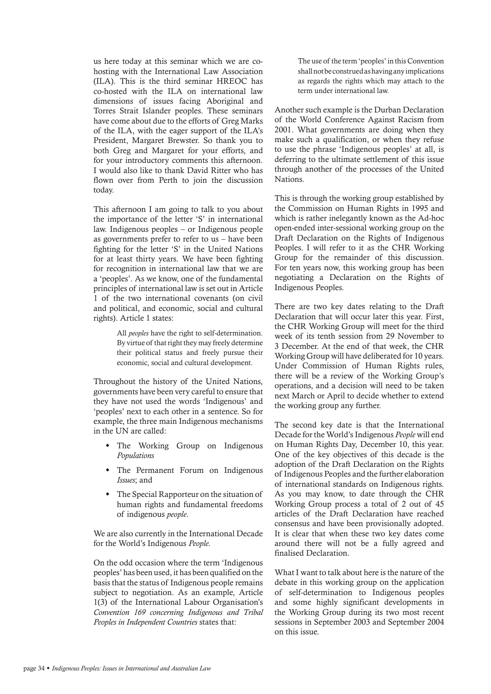us here today at this seminar which we are cohosting with the International Law Association (ILA). This is the third seminar HREOC has co-hosted with the ILA on international law dimensions of issues facing Aboriginal and Torres Strait Islander peoples. These seminars have come about due to the efforts of Greg Marks of the ILA, with the eager support of the ILA's President, Margaret Brewster. So thank you to both Greg and Margaret for your efforts, and for your introductory comments this afternoon. I would also like to thank David Ritter who has flown over from Perth to join the discussion today.

This afternoon I am going to talk to you about the importance of the letter 'S' in international law. Indigenous peoples – or Indigenous people as governments prefer to refer to us – have been fighting for the letter 'S' in the United Nations for at least thirty years. We have been fighting for recognition in international law that we are a 'peoples'. As we know, one of the fundamental principles of international law is set out in Article 1 of the two international covenants (on civil and political, and economic, social and cultural rights). Article 1 states:

> All *peoples* have the right to self-determination. By virtue of that right they may freely determine their political status and freely pursue their economic, social and cultural development.

Throughout the history of the United Nations, governments have been very careful to ensure that they have not used the words 'Indigenous' and 'peoples' next to each other in a sentence. So for example, the three main Indigenous mechanisms in the UN are called:

- The Working Group on Indigenous *Populations*
- The Permanent Forum on Indigenous *Issues*; and
- $\bullet$  The Special Rapporteur on the situation of human rights and fundamental freedoms of indigenous *people*.

We are also currently in the International Decade for the World's Indigenous *People.*

On the odd occasion where the term 'Indigenous peoples' has been used, it has been qualified on the basis that the status of Indigenous people remains subject to negotiation. As an example, Article 1(3) of the International Labour Organisation's *Convention 169 concerning Indigenous and Tribal Peoples in Independent Countries* states that:

The use of the term 'peoples' in this Convention shall not be construed as having any implications as regards the rights which may attach to the term under international law.

Another such example is the Durban Declaration of the World Conference Against Racism from 2001. What governments are doing when they make such a qualification, or when they refuse to use the phrase 'Indigenous peoples' at all, is deferring to the ultimate settlement of this issue through another of the processes of the United Nations.

This is through the working group established by the Commission on Human Rights in 1995 and which is rather inelegantly known as the Ad-hoc open-ended inter-sessional working group on the Draft Declaration on the Rights of Indigenous Peoples. I will refer to it as the CHR Working Group for the remainder of this discussion. For ten years now, this working group has been negotiating a Declaration on the Rights of Indigenous Peoples.

There are two key dates relating to the Draft Declaration that will occur later this year. First, the CHR Working Group will meet for the third week of its tenth session from 29 November to 3 December. At the end of that week, the CHR Working Group will have deliberated for 10 years. Under Commission of Human Rights rules, there will be a review of the Working Group's operations, and a decision will need to be taken next March or April to decide whether to extend the working group any further.

The second key date is that the International Decade for the World's Indigenous *People* will end on Human Rights Day, December 10, this year. One of the key objectives of this decade is the adoption of the Draft Declaration on the Rights of Indigenous Peoples and the further elaboration of international standards on Indigenous rights. As you may know, to date through the CHR Working Group process a total of 2 out of 45 articles of the Draft Declaration have reached consensus and have been provisionally adopted. It is clear that when these two key dates come around there will not be a fully agreed and finalised Declaration.

What I want to talk about here is the nature of the debate in this working group on the application of self-determination to Indigenous peoples and some highly significant developments in the Working Group during its two most recent sessions in September 2003 and September 2004 on this issue.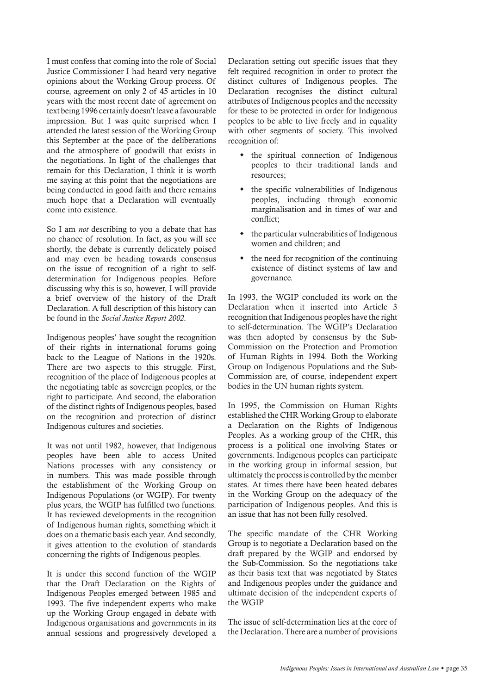I must confess that coming into the role of Social Justice Commissioner I had heard very negative opinions about the Working Group process. Of course, agreement on only 2 of 45 articles in 10 years with the most recent date of agreement on text being 1996 certainly doesn't leave a favourable impression. But I was quite surprised when I attended the latest session of the Working Group this September at the pace of the deliberations and the atmosphere of goodwill that exists in the negotiations. In light of the challenges that remain for this Declaration, I think it is worth me saying at this point that the negotiations are being conducted in good faith and there remains much hope that a Declaration will eventually come into existence.

So I am *not* describing to you a debate that has no chance of resolution. In fact, as you will see shortly, the debate is currently delicately poised and may even be heading towards consensus on the issue of recognition of a right to selfdetermination for Indigenous peoples. Before discussing why this is so, however, I will provide a brief overview of the history of the Draft Declaration. A full description of this history can be found in the *Social Justice Report 2002*.

Indigenous peoples' have sought the recognition of their rights in international forums going back to the League of Nations in the 1920s. There are two aspects to this struggle. First, recognition of the place of Indigenous peoples at the negotiating table as sovereign peoples, or the right to participate. And second, the elaboration of the distinct rights of Indigenous peoples, based on the recognition and protection of distinct Indigenous cultures and societies.

It was not until 1982, however, that Indigenous peoples have been able to access United Nations processes with any consistency or in numbers. This was made possible through the establishment of the Working Group on Indigenous Populations (or WGIP). For twenty plus years, the WGIP has fulfilled two functions. It has reviewed developments in the recognition of Indigenous human rights, something which it does on a thematic basis each year. And secondly, it gives attention to the evolution of standards concerning the rights of Indigenous peoples.

It is under this second function of the WGIP that the Draft Declaration on the Rights of Indigenous Peoples emerged between 1985 and 1993. The five independent experts who make up the Working Group engaged in debate with Indigenous organisations and governments in its annual sessions and progressively developed a Declaration setting out specific issues that they felt required recognition in order to protect the distinct cultures of Indigenous peoples. The Declaration recognises the distinct cultural attributes of Indigenous peoples and the necessity for these to be protected in order for Indigenous peoples to be able to live freely and in equality with other segments of society. This involved recognition of:

- the spiritual connection of Indigenous peoples to their traditional lands and resources;
- $\bullet$  the specific vulnerabilities of Indigenous peoples, including through economic marginalisation and in times of war and conflict;
- the particular vulnerabilities of Indigenous women and children; and
- the need for recognition of the continuing existence of distinct systems of law and governance.

In 1993, the WGIP concluded its work on the Declaration when it inserted into Article 3 recognition that Indigenous peoples have the right to self-determination. The WGIP's Declaration was then adopted by consensus by the Sub-Commission on the Protection and Promotion of Human Rights in 1994. Both the Working Group on Indigenous Populations and the Sub-Commission are, of course, independent expert bodies in the UN human rights system.

In 1995, the Commission on Human Rights established the CHR Working Group to elaborate a Declaration on the Rights of Indigenous Peoples. As a working group of the CHR, this process is a political one involving States or governments. Indigenous peoples can participate in the working group in informal session, but ultimately the process is controlled by the member states. At times there have been heated debates in the Working Group on the adequacy of the participation of Indigenous peoples. And this is an issue that has not been fully resolved.

The specific mandate of the CHR Working Group is to negotiate a Declaration based on the draft prepared by the WGIP and endorsed by the Sub-Commission. So the negotiations take as their basis text that was negotiated by States and Indigenous peoples under the guidance and ultimate decision of the independent experts of the WGIP

The issue of self-determination lies at the core of the Declaration. There are a number of provisions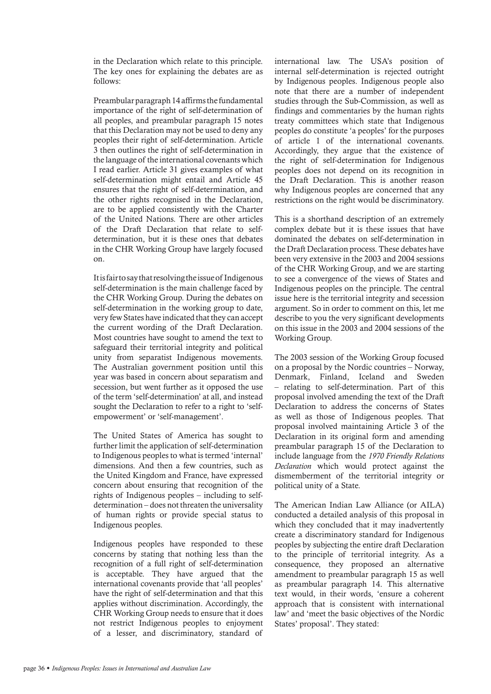in the Declaration which relate to this principle. The key ones for explaining the debates are as follows:

Preambular paragraph 14 affirms the fundamental importance of the right of self-determination of all peoples, and preambular paragraph 15 notes that this Declaration may not be used to deny any peoples their right of self-determination. Article 3 then outlines the right of self-determination in the language of the international covenants which I read earlier. Article 31 gives examples of what self-determination might entail and Article 45 ensures that the right of self-determination, and the other rights recognised in the Declaration, are to be applied consistently with the Charter of the United Nations. There are other articles of the Draft Declaration that relate to selfdetermination, but it is these ones that debates in the CHR Working Group have largely focused on.

It is fair to say that resolving the issue of Indigenous self-determination is the main challenge faced by the CHR Working Group. During the debates on self-determination in the working group to date, very few States have indicated that they can accept the current wording of the Draft Declaration. Most countries have sought to amend the text to safeguard their territorial integrity and political unity from separatist Indigenous movements. The Australian government position until this year was based in concern about separatism and secession, but went further as it opposed the use of the term 'self-determination' at all, and instead sought the Declaration to refer to a right to 'selfempowerment' or 'self-management'.

The United States of America has sought to further limit the application of self-determination to Indigenous peoples to what is termed 'internal' dimensions. And then a few countries, such as the United Kingdom and France, have expressed concern about ensuring that recognition of the rights of Indigenous peoples – including to selfdetermination – does not threaten the universality of human rights or provide special status to Indigenous peoples.

Indigenous peoples have responded to these concerns by stating that nothing less than the recognition of a full right of self-determination is acceptable. They have argued that the international covenants provide that 'all peoples' have the right of self-determination and that this applies without discrimination. Accordingly, the CHR Working Group needs to ensure that it does not restrict Indigenous peoples to enjoyment of a lesser, and discriminatory, standard of

international law. The USA's position of internal self-determination is rejected outright by Indigenous peoples. Indigenous people also note that there are a number of independent studies through the Sub-Commission, as well as findings and commentaries by the human rights treaty committees which state that Indigenous peoples do constitute 'a peoples' for the purposes of article 1 of the international covenants. Accordingly, they argue that the existence of the right of self-determination for Indigenous peoples does not depend on its recognition in the Draft Declaration. This is another reason why Indigenous peoples are concerned that any restrictions on the right would be discriminatory.

This is a shorthand description of an extremely complex debate but it is these issues that have dominated the debates on self-determination in the Draft Declaration process. These debates have been very extensive in the 2003 and 2004 sessions of the CHR Working Group, and we are starting to see a convergence of the views of States and Indigenous peoples on the principle. The central issue here is the territorial integrity and secession argument. So in order to comment on this, let me describe to you the very significant developments on this issue in the 2003 and 2004 sessions of the Working Group.

The 2003 session of the Working Group focused on a proposal by the Nordic countries – Norway, Denmark, Finland, Iceland and Sweden – relating to self-determination. Part of this proposal involved amending the text of the Draft Declaration to address the concerns of States as well as those of Indigenous peoples. That proposal involved maintaining Article 3 of the Declaration in its original form and amending preambular paragraph 15 of the Declaration to include language from the *1970 Friendly Relations Declaration* which would protect against the dismemberment of the territorial integrity or political unity of a State.

The American Indian Law Alliance (or AILA) conducted a detailed analysis of this proposal in which they concluded that it may inadvertently create a discriminatory standard for Indigenous peoples by subjecting the entire draft Declaration to the principle of territorial integrity. As a consequence, they proposed an alternative amendment to preambular paragraph 15 as well as preambular paragraph 14. This alternative text would, in their words, 'ensure a coherent approach that is consistent with international law' and 'meet the basic objectives of the Nordic States' proposal'. They stated: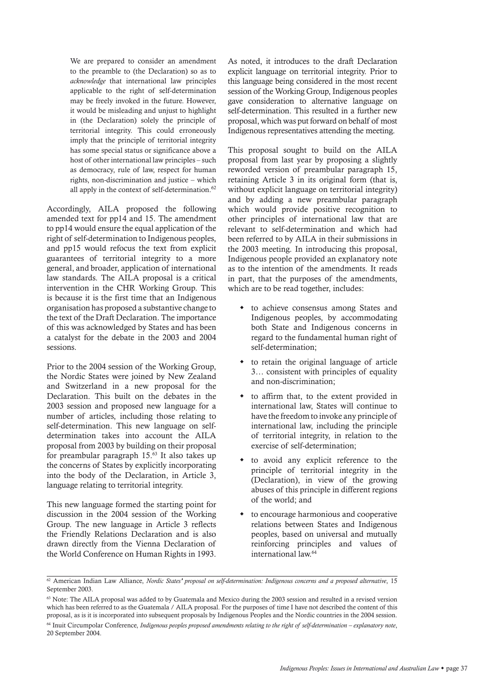We are prepared to consider an amendment to the preamble to (the Declaration) so as to *acknowledge* that international law principles applicable to the right of self-determination may be freely invoked in the future. However, it would be misleading and unjust to highlight in (the Declaration) solely the principle of territorial integrity. This could erroneously imply that the principle of territorial integrity has some special status or significance above a host of other international law principles – such as democracy, rule of law, respect for human rights, non-discrimination and justice – which all apply in the context of self-determination.<sup>62</sup>

Accordingly, AILA proposed the following amended text for pp14 and 15. The amendment to pp14 would ensure the equal application of the right of self-determination to Indigenous peoples, and pp15 would refocus the text from explicit guarantees of territorial integrity to a more general, and broader, application of international law standards. The AILA proposal is a critical intervention in the CHR Working Group. This is because it is the first time that an Indigenous organisation has proposed a substantive change to the text of the Draft Declaration. The importance of this was acknowledged by States and has been a catalyst for the debate in the 2003 and 2004 sessions.

Prior to the 2004 session of the Working Group, the Nordic States were joined by New Zealand and Switzerland in a new proposal for the Declaration. This built on the debates in the 2003 session and proposed new language for a number of articles, including those relating to self-determination. This new language on selfdetermination takes into account the AILA proposal from 2003 by building on their proposal for preambular paragraph 15.63 It also takes up the concerns of States by explicitly incorporating into the body of the Declaration, in Article 3, language relating to territorial integrity.

This new language formed the starting point for discussion in the 2004 session of the Working Group. The new language in Article 3 reflects the Friendly Relations Declaration and is also drawn directly from the Vienna Declaration of the World Conference on Human Rights in 1993. As noted, it introduces to the draft Declaration explicit language on territorial integrity. Prior to this language being considered in the most recent session of the Working Group, Indigenous peoples gave consideration to alternative language on self-determination. This resulted in a further new proposal, which was put forward on behalf of most Indigenous representatives attending the meeting.

This proposal sought to build on the AILA proposal from last year by proposing a slightly reworded version of preambular paragraph 15, retaining Article 3 in its original form (that is, without explicit language on territorial integrity) and by adding a new preambular paragraph which would provide positive recognition to other principles of international law that are relevant to self-determination and which had been referred to by AILA in their submissions in the 2003 meeting. In introducing this proposal, Indigenous people provided an explanatory note as to the intention of the amendments. It reads in part, that the purposes of the amendments, which are to be read together, includes:

- $\bullet$  to achieve consensus among States and Indigenous peoples, by accommodating both State and Indigenous concerns in regard to the fundamental human right of self-determination;
- to retain the original language of article 3… consistent with principles of equality and non-discrimination;
- to affirm that, to the extent provided in international law, States will continue to have the freedom to invoke any principle of international law, including the principle of territorial integrity, in relation to the exercise of self-determination;
- to avoid any explicit reference to the principle of territorial integrity in the (Declaration), in view of the growing abuses of this principle in different regions of the world; and
- $\bullet$  to encourage harmonious and cooperative relations between States and Indigenous peoples, based on universal and mutually reinforcing principles and values of international law.64

<sup>62</sup> American Indian Law Alliance, *Nordic States' proposal on self-determination: Indigenous concerns and a proposed alternative*, 15 September 2003.

<sup>&</sup>lt;sup>63</sup> Note: The AILA proposal was added to by Guatemala and Mexico during the 2003 session and resulted in a revised version which has been referred to as the Guatemala / AILA proposal. For the purposes of time I have not described the content of this proposal, as is it is incorporated into subsequent proposals by Indigenous Peoples and the Nordic countries in the 2004 session.

<sup>64</sup> Inuit Circumpolar Conference, *Indigenous peoples proposed amendments relating to the right of self-determination – explanatory note*, 20 September 2004.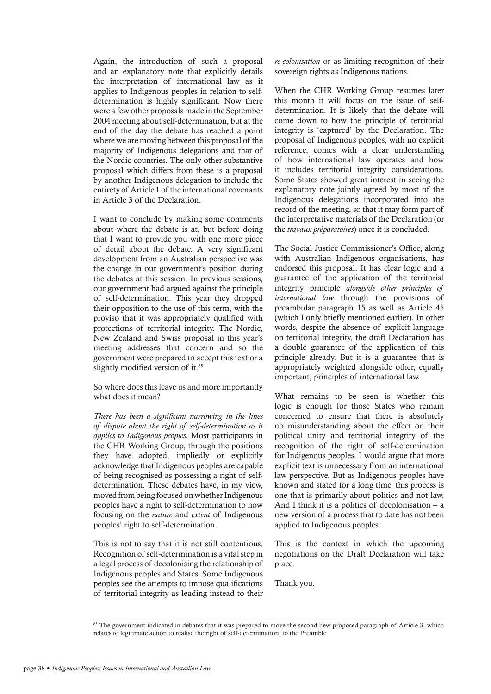Again, the introduction of such a proposal and an explanatory note that explicitly details the interpretation of international law as it applies to Indigenous peoples in relation to selfdetermination is highly significant. Now there were a few other proposals made in the September 2004 meeting about self-determination, but at the end of the day the debate has reached a point where we are moving between this proposal of the majority of Indigenous delegations and that of the Nordic countries. The only other substantive proposal which differs from these is a proposal by another Indigenous delegation to include the entirety of Article 1 of the international covenants in Article 3 of the Declaration.

I want to conclude by making some comments about where the debate is at, but before doing that I want to provide you with one more piece of detail about the debate. A very significant development from an Australian perspective was the change in our government's position during the debates at this session. In previous sessions, our government had argued against the principle of self-determination. This year they dropped their opposition to the use of this term, with the proviso that it was appropriately qualified with protections of territorial integrity. The Nordic, New Zealand and Swiss proposal in this year's meeting addresses that concern and so the government were prepared to accept this text or a slightly modified version of it.<sup>65</sup>

So where does this leave us and more importantly what does it mean?

*There has been a significant narrowing in the lines of dispute about the right of self-determination as it applies to Indigenous peoples.* Most participants in the CHR Working Group, through the positions they have adopted, impliedly or explicitly acknowledge that Indigenous peoples are capable of being recognised as possessing a right of selfdetermination. These debates have, in my view, moved from being focused on whether Indigenous peoples have a right to self-determination to now focusing on the *nature* and *extent* of Indigenous peoples' right to self-determination.

This is not to say that it is not still contentious. Recognition of self-determination is a vital step in a legal process of decolonising the relationship of Indigenous peoples and States. Some Indigenous peoples see the attempts to impose qualifications of territorial integrity as leading instead to their

*re-colonisation* or as limiting recognition of their sovereign rights as Indigenous nations.

When the CHR Working Group resumes later this month it will focus on the issue of selfdetermination. It is likely that the debate will come down to how the principle of territorial integrity is 'captured' by the Declaration. The proposal of Indigenous peoples, with no explicit reference, comes with a clear understanding of how international law operates and how it includes territorial integrity considerations. Some States showed great interest in seeing the explanatory note jointly agreed by most of the Indigenous delegations incorporated into the record of the meeting, so that it may form part of the interpretative materials of the Declaration (or the *travaux préparatoires*) once it is concluded.

The Social Justice Commissioner's Office, along with Australian Indigenous organisations, has endorsed this proposal. It has clear logic and a guarantee of the application of the territorial integrity principle *alongside other principles of international law* through the provisions of preambular paragraph 15 as well as Article 45 (which I only briefly mentioned earlier). In other words, despite the absence of explicit language on territorial integrity, the draft Declaration has a double guarantee of the application of this principle already. But it is a guarantee that is appropriately weighted alongside other, equally important, principles of international law.

What remains to be seen is whether this logic is enough for those States who remain concerned to ensure that there is absolutely no misunderstanding about the effect on their political unity and territorial integrity of the recognition of the right of self-determination for Indigenous peoples. I would argue that more explicit text is unnecessary from an international law perspective. But as Indigenous peoples have known and stated for a long time, this process is one that is primarily about politics and not law. And I think it is a politics of decolonisation  $- a$ new version of a process that to date has not been applied to Indigenous peoples.

This is the context in which the upcoming negotiations on the Draft Declaration will take place.

Thank you.

 $65$  The government indicated in debates that it was prepared to move the second new proposed paragraph of Article 3, which relates to legitimate action to realise the right of self-determination, to the Preamble.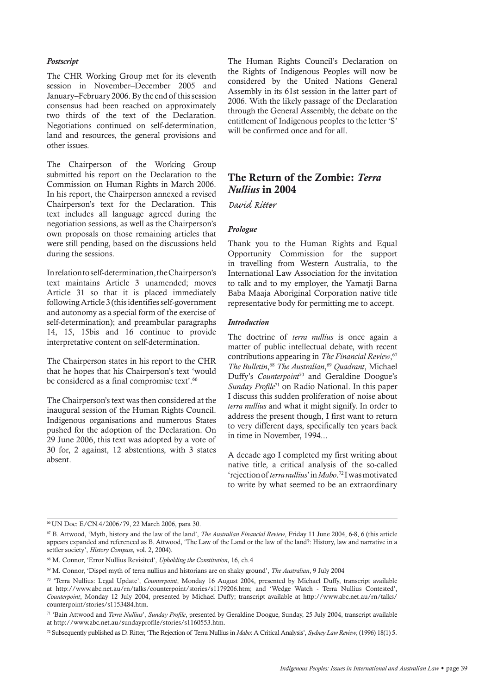#### *Postscript*

The CHR Working Group met for its eleventh session in November–December 2005 and January–February 2006. By the end of this session consensus had been reached on approximately two thirds of the text of the Declaration. Negotiations continued on self-determination, land and resources, the general provisions and other issues.

The Chairperson of the Working Group submitted his report on the Declaration to the Commission on Human Rights in March 2006. In his report, the Chairperson annexed a revised Chairperson's text for the Declaration. This text includes all language agreed during the negotiation sessions, as well as the Chairperson's own proposals on those remaining articles that were still pending, based on the discussions held during the sessions.

In relation to self-determination, the Chairperson's text maintains Article 3 unamended; moves Article 31 so that it is placed immediately following Article 3 (this identifies self-government and autonomy as a special form of the exercise of self-determination); and preambular paragraphs 14, 15, 15bis and 16 continue to provide interpretative content on self-determination.

The Chairperson states in his report to the CHR that he hopes that his Chairperson's text 'would be considered as a final compromise text'.<sup>66</sup>

The Chairperson's text was then considered at the inaugural session of the Human Rights Council. Indigenous organisations and numerous States pushed for the adoption of the Declaration. On 29 June 2006, this text was adopted by a vote of 30 for, 2 against, 12 abstentions, with 3 states absent.

The Human Rights Council's Declaration on the Rights of Indigenous Peoples will now be considered by the United Nations General Assembly in its 61st session in the latter part of 2006. With the likely passage of the Declaration through the General Assembly, the debate on the entitlement of Indigenous peoples to the letter 'S' will be confirmed once and for all.

## The Return of the Zombie: *Terra Nullius* in 2004

*David Ritter* 

#### *Prologue*

Thank you to the Human Rights and Equal Opportunity Commission for the support in travelling from Western Australia, to the International Law Association for the invitation to talk and to my employer, the Yamatji Barna Baba Maaja Aboriginal Corporation native title representative body for permitting me to accept.

## *Introduction*

The doctrine of *terra nullius* is once again a matter of public intellectual debate, with recent contributions appearing in *The Financial Review*, 67 *The Bulletin*, <sup>68</sup> *The Australian*, <sup>69</sup> *Quadrant*, Michael Duffy's *Counterpoint*70 and Geraldine Doogue's *Sunday Profile*71 on Radio National. In this paper I discuss this sudden proliferation of noise about *terra nullius* and what it might signify. In order to address the present though, I first want to return to very different days, specifically ten years back in time in November, 1994...

A decade ago I completed my first writing about native title, a critical analysis of the so-called 'rejection of *terra nullius*' in *Mabo*. 72 I was motivated to write by what seemed to be an extraordinary

<sup>66</sup> UN Doc: E/CN.4/2006/79, 22 March 2006, para 30.

<sup>67</sup> B. Attwood, 'Myth, history and the law of the land', *The Australian Financial Review*, Friday 11 June 2004, 6-8, 6 (this article appears expanded and referenced as B. Attwood, 'The Law of the Land or the law of the land?: History, law and narrative in a settler society', *History Compass*, vol. 2, 2004).

<sup>68</sup> M. Connor, 'Error Nullius Revisited', *Upholding the Constitution*, 16, ch.4

<sup>69</sup> M. Connor, 'Dispel myth of terra nullius and historians are on shaky ground', *The Australian*, 9 July 2004

<sup>70 &#</sup>x27;Terra Nullius: Legal Update', *Counterpoint*, Monday 16 August 2004, presented by Michael Duffy, transcript available at http://www.abc.net.au/rn/talks/counterpoint/stories/s1179206.htm; and 'Wedge Watch - Terra Nullius Contested', *Counterpoint*, Monday 12 July 2004, presented by Michael Duffy; transcript available at http://www.abc.net.au/rn/talks/ counterpoint/stories/s1153484.htm.

<sup>71 &#</sup>x27;Bain Attwood and *Terra Nullius*', *Sunday Profile*, presented by Geraldine Doogue, Sunday, 25 July 2004, transcript available at http://www.abc.net.au/sundayprofile/stories/s1160553.htm.

<sup>72</sup> Subsequently published as D. Ritter, 'The Rejection of Terra Nullius in *Mabo*: A Critical Analysis', *Sydney Law Review*, (1996) 18(1) 5.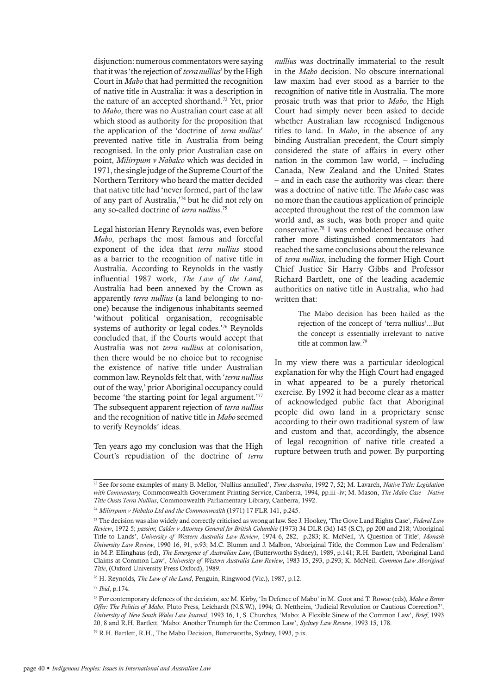disjunction: numerous commentators were saying that it was 'the rejection of *terra nullius*' by the High Court in *Mabo* that had permitted the recognition of native title in Australia: it was a description in the nature of an accepted shorthand.<sup>73</sup> Yet, prior to *Mabo*, there was no Australian court case at all which stood as authority for the proposition that the application of the 'doctrine of *terra nullius*' prevented native title in Australia from being recognised. In the only prior Australian case on point, *Milirrpum v Nabalco* which was decided in 1971, the single judge of the Supreme Court of the Northern Territory who heard the matter decided that native title had 'never formed, part of the law of any part of Australia,'74 but he did not rely on any so-called doctrine of *terra nullius*. 75

Legal historian Henry Reynolds was, even before *Mabo*, perhaps the most famous and forceful exponent of the idea that *terra nullius* stood as a barrier to the recognition of native title in Australia. According to Reynolds in the vastly influential 1987 work, *The Law of the Land*, Australia had been annexed by the Crown as apparently *terra nullius* (a land belonging to noone) because the indigenous inhabitants seemed 'without political organisation, recognisable systems of authority or legal codes.'76 Reynolds concluded that, if the Courts would accept that Australia was not *terra nullius* at colonisation, then there would be no choice but to recognise the existence of native title under Australian common law. Reynolds felt that, with '*terra nullius* out of the way,' prior Aboriginal occupancy could become 'the starting point for legal argument.'<sup>77</sup> The subsequent apparent rejection of *terra nullius*  and the recognition of native title in *Mabo* seemed to verify Reynolds' ideas.

Ten years ago my conclusion was that the High Court's repudiation of the doctrine of *terra* 

*nullius* was doctrinally immaterial to the result in the *Mabo* decision. No obscure international law maxim had ever stood as a barrier to the recognition of native title in Australia. The more prosaic truth was that prior to *Mabo*, the High Court had simply never been asked to decide whether Australian law recognised Indigenous titles to land. In *Mabo*, in the absence of any binding Australian precedent, the Court simply considered the state of affairs in every other nation in the common law world, – including Canada, New Zealand and the United States – and in each case the authority was clear: there was a doctrine of native title. The *Mabo* case was no more than the cautious application of principle accepted throughout the rest of the common law world and, as such, was both proper and quite conservative.78 I was emboldened because other rather more distinguished commentators had reached the same conclusions about the relevance of *terra nullius*, including the former High Court Chief Justice Sir Harry Gibbs and Professor Richard Bartlett, one of the leading academic authorities on native title in Australia, who had written that:

> The Mabo decision has been hailed as the rejection of the concept of 'terra nullius'...But the concept is essentially irrelevant to native title at common law*.* 79

In my view there was a particular ideological explanation for why the High Court had engaged in what appeared to be a purely rhetorical exercise. By 1992 it had become clear as a matter of acknowledged public fact that Aboriginal people did own land in a proprietary sense according to their own traditional system of law and custom and that, accordingly, the absence of legal recognition of native title created a rupture between truth and power. By purporting

<sup>73</sup> See for some examples of many B. Mellor, 'Nullius annulled', *Time Australia*, 1992 7, 52; M. Lavarch, *Native Title: Legislation with Commentary,* Commonwealth Government Printing Service, Canberra, 1994, pp.iii -iv; M. Mason, *The Mabo Case – Native Title Ousts Terra Nullius*, Commonwealth Parliamentary Library, Canberra, 1992.

<sup>74</sup> *Milirrpum v Nabalco Ltd and the Commonwealth* (1971) 17 FLR 141, p.245.

<sup>75</sup> The decision was also widely and correctly criticised as wrong at law. See J. Hookey, 'The Gove Land Rights Case', *Federal Law Review*, 1972 5; *passim*; *Calder v Attorney General for British Columbia* (1973) 34 DLR (3d) 145 (S.C), pp 200 and 218; 'Aboriginal Title to Lands', *University of Western Australia Law Review*, 1974 6, 282, p.283; K. McNeil, 'A Question of Title', *Monash University Law Review*, 1990 16, 91, p.93; M.C. Blumm and J. Malbon, 'Aboriginal Title, the Common Law and Federalism' in M.P. Ellinghaus (ed), *The Emergence of Australian Law*, (Butterworths Sydney), 1989, p.141; R.H. Bartlett, 'Aboriginal Land Claims at Common Law', *University of Western Australia Law Review*, 1983 15, 293, p.293; K. McNeil, *Common Law Aboriginal Title*, (Oxford University Press Oxford), 1989.

<sup>76</sup> H. Reynolds, *The Law of the Land*, Penguin, Ringwood (Vic.), 1987, p.12.

<sup>77</sup> *Ibid*, p.174.

<sup>78</sup> For contemporary defences of the decision, see M. Kirby, 'In Defence of Mabo' in M. Goot and T. Rowse (eds), *Make a Better Offer: The Politics of Mabo*, Pluto Press, Leichardt (N.S.W.), 1994; G. Nettheim, 'Judicial Revolution or Cautious Correction?', *University of New South Wales Law Journal*, 1993 16, 1, S. Churches, 'Mabo: A Flexible Sinew of the Common Law', *Brief*, 1993 20, 8 and R.H. Bartlett, 'Mabo: Another Triumph for the Common Law', *Sydney Law Review*, 1993 15, 178.

<sup>79</sup> R.H. Bartlett, R.H., The Mabo Decision, Butterworths, Sydney, 1993, p.ix.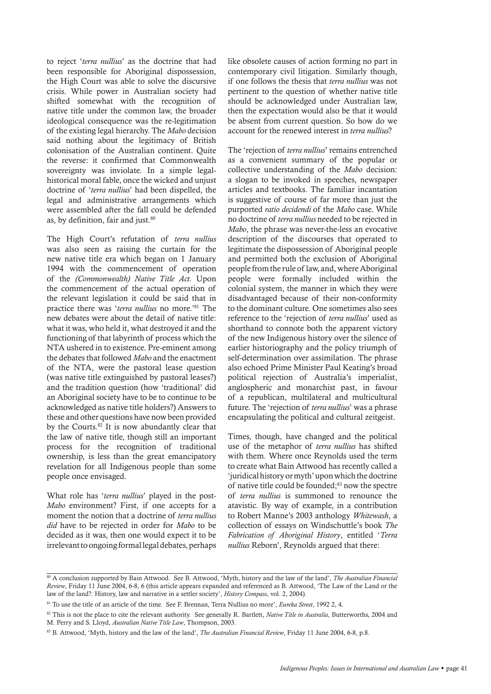to reject '*terra nullius*' as the doctrine that had been responsible for Aboriginal dispossession, the High Court was able to solve the discursive crisis. While power in Australian society had shifted somewhat with the recognition of native title under the common law, the broader ideological consequence was the re-legitimation of the existing legal hierarchy. The *Mabo* decision said nothing about the legitimacy of British colonisation of the Australian continent. Quite the reverse: it confirmed that Commonwealth sovereignty was inviolate. In a simple legalhistorical moral fable, once the wicked and unjust doctrine of '*terra nullius*' had been dispelled, the legal and administrative arrangements which were assembled after the fall could be defended as, by definition, fair and just.<sup>80</sup>

The High Court's refutation of *terra nullius* was also seen as raising the curtain for the new native title era which began on 1 January 1994 with the commencement of operation of the *(Commonwealth) Native Title Act.* Upon the commencement of the actual operation of the relevant legislation it could be said that in practice there was '*terra nullius* no more.'81 The new debates were about the detail of native title: what it was, who held it, what destroyed it and the functioning of that labyrinth of process which the NTA ushered in to existence. Pre-eminent among the debates that followed *Mabo* and the enactment of the NTA, were the pastoral lease question (was native title extinguished by pastoral leases?) and the tradition question (how 'traditional' did an Aboriginal society have to be to continue to be acknowledged as native title holders?) Answers to these and other questions have now been provided by the Courts.82 It is now abundantly clear that the law of native title, though still an important process for the recognition of traditional ownership, is less than the great emancipatory revelation for all Indigenous people than some people once envisaged.

What role has '*terra nullius*' played in the post-*Mabo* environment? First, if one accepts for a moment the notion that a doctrine of *terra nullius did* have to be rejected in order for *Mabo* to be decided as it was, then one would expect it to be irrelevant to ongoing formal legal debates, perhaps like obsolete causes of action forming no part in contemporary civil litigation. Similarly though, if one follows the thesis that *terra nullius* was not pertinent to the question of whether native title should be acknowledged under Australian law, then the expectation would also be that it would be absent from current question. So how do we account for the renewed interest in *terra nullius*?

The 'rejection of *terra nullius*' remains entrenched as a convenient summary of the popular or collective understanding of the *Mabo* decision: a slogan to be invoked in speeches, newspaper articles and textbooks. The familiar incantation is suggestive of course of far more than just the purported *ratio decidendi* of the *Mabo* case. While no doctrine of *terra nullius* needed to be rejected in *Mabo*, the phrase was never-the-less an evocative description of the discourses that operated to legitimate the dispossession of Aboriginal people and permitted both the exclusion of Aboriginal people from the rule of law, and, where Aboriginal people were formally included within the colonial system, the manner in which they were disadvantaged because of their non-conformity to the dominant culture. One sometimes also sees reference to the 'rejection of *terra nullius*' used as shorthand to connote both the apparent victory of the new Indigenous history over the silence of earlier historiography and the policy triumph of self-determination over assimilation. The phrase also echoed Prime Minister Paul Keating's broad political rejection of Australia's imperialist, anglospheric and monarchist past, in favour of a republican, multilateral and multicultural future. The 'rejection of *terra nullius*' was a phrase encapsulating the political and cultural zeitgeist.

Times, though, have changed and the political use of the metaphor of *terra nullius* has shifted with them. Where once Reynolds used the term to create what Bain Attwood has recently called a 'juridical history or myth' upon which the doctrine of native title could be founded;<sup>83</sup> now the spectre of *terra nullius* is summoned to renounce the atavistic. By way of example, in a contribution to Robert Manne's 2003 anthology *Whitewash*, a collection of essays on Windschuttle's book *The Fabrication of Aboriginal History*, entitled '*Terra nullius* Reborn', Reynolds argued that there:

<sup>80</sup> A conclusion supported by Bain Attwood. See B. Attwood, 'Myth, history and the law of the land', *The Australian Financial Review*, Friday 11 June 2004, 6-8, 6 (this article appears expanded and referenced as B. Attwood, 'The Law of the Land or the law of the land?: History, law and narrative in a settler society', *History Compass*, vol. 2, 2004).

<sup>81</sup> To use the title of an article of the time. See F. Brennan, Terra Nullius no more', *Eureka Street*, 1992 2, 4.

<sup>&</sup>lt;sup>82</sup> This is not the place to cite the relevant authority. See generally R. Bartlett, *Native Title in Australia*, Butterworths, 2004 and M. Perry and S. Lloyd, *Australian Native Title Law*, Thompson, 2003.

<sup>83</sup> B. Attwood, 'Myth, history and the law of the land', *The Australian Financial Review*, Friday 11 June 2004, 6-8, p.8.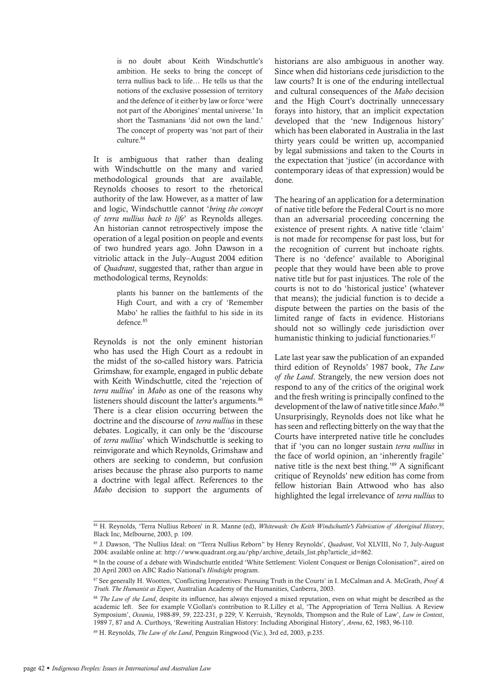is no doubt about Keith Windschuttle's ambition. He seeks to bring the concept of terra nullius back to life… He tells us that the notions of the exclusive possession of territory and the defence of it either by law or force 'were not part of the Aborigines' mental universe.' In short the Tasmanians 'did not own the land.' The concept of property was 'not part of their culture. 84

It is ambiguous that rather than dealing with Windschuttle on the many and varied methodological grounds that are available, Reynolds chooses to resort to the rhetorical authority of the law. However, as a matter of law and logic, Windschuttle cannot '*bring the concept of terra nullius back to life*' as Reynolds alleges. An historian cannot retrospectively impose the operation of a legal position on people and events of two hundred years ago. John Dawson in a vitriolic attack in the July–August 2004 edition of *Quadrant*, suggested that, rather than argue in methodological terms, Reynolds:

> plants his banner on the battlements of the High Court, and with a cry of 'Remember Mabo' he rallies the faithful to his side in its defence*.* 85

Reynolds is not the only eminent historian who has used the High Court as a redoubt in the midst of the so-called history wars. Patricia Grimshaw, for example, engaged in public debate with Keith Windschuttle, cited the 'rejection of *terra nullius*' in *Mabo* as one of the reasons why listeners should discount the latter's arguments.<sup>86</sup> There is a clear elision occurring between the doctrine and the discourse of *terra nullius* in these debates. Logically, it can only be the 'discourse of *terra nullius*' which Windschuttle is seeking to reinvigorate and which Reynolds, Grimshaw and others are seeking to condemn, but confusion arises because the phrase also purports to name a doctrine with legal affect. References to the *Mabo* decision to support the arguments of

historians are also ambiguous in another way. Since when did historians cede jurisdiction to the law courts? It is one of the enduring intellectual and cultural consequences of the *Mabo* decision and the High Court's doctrinally unnecessary forays into history, that an implicit expectation developed that the 'new Indigenous history' which has been elaborated in Australia in the last thirty years could be written up, accompanied by legal submissions and taken to the Courts in the expectation that 'justice' (in accordance with contemporary ideas of that expression) would be done.

The hearing of an application for a determination of native title before the Federal Court is no more than an adversarial proceeding concerning the existence of present rights. A native title 'claim' is not made for recompense for past loss, but for the recognition of current but inchoate rights. There is no 'defence' available to Aboriginal people that they would have been able to prove native title but for past injustices. The role of the courts is not to do 'historical justice' (whatever that means); the judicial function is to decide a dispute between the parties on the basis of the limited range of facts in evidence. Historians should not so willingly cede jurisdiction over humanistic thinking to judicial functionaries.<sup>87</sup>

Late last year saw the publication of an expanded third edition of Reynolds' 1987 book, *The Law of the Land*. Strangely, the new version does not respond to any of the critics of the original work and the fresh writing is principally confined to the development of the law of native title since *Mabo*. 88 Unsurprisingly, Reynolds does not like what he has seen and reflecting bitterly on the way that the Courts have interpreted native title he concludes that if 'you can no longer sustain *terra nullius* in the face of world opinion, an 'inherently fragile' native title is the next best thing.'89 A significant critique of Reynolds' new edition has come from fellow historian Bain Attwood who has also highlighted the legal irrelevance of *terra nullius* to

89 H. Reynolds, *The Law of the Land*, Penguin Ringwood (Vic.), 3rd ed, 2003, p.235.

<sup>84</sup> H. Reynolds, 'Terra Nullius Reborn' in R. Manne (ed), Whitewash: On Keith Windschuttle's Fabrication of Aboriginal History, Black Inc, Melbourne, 2003, p. 109.

<sup>85</sup> J. Dawson, 'The Nullius Ideal: on "Terra Nullius Reborn" by Henry Reynolds', *Quadrant*, Vol XLVIII, No 7, July-August 2004: available online at: http://www.quadrant.org.au/php/archive\_details\_list.php?article\_id=862.

<sup>86</sup> In the course of a debate with Windschuttle entitled 'White Settlement: Violent Conquest or Benign Colonisation?', aired on 20 April 2003 on ABC Radio National's *Hindsight* program.

<sup>87</sup> See generally H. Wootten, 'Conflicting Imperatives: Pursuing Truth in the Courts' in I. McCalman and A. McGrath, *Proof & Truth. The Humanist as Expert*, Australian Academy of the Humanities, Canberra, 2003.

<sup>&</sup>lt;sup>88</sup> *The Law of the Land*, despite its influence, has always enjoyed a mixed reputation, even on what might be described as the academic left. See for example V.Gollan's contribution to R.Lilley et al, 'The Appropriation of Terra Nullius. A Review Symposium', *Oceania*, 1988-89, 59, 222-231, p 229; V. Kerruish, 'Reynolds, Thompson and the Rule of Law', *Law in Context*, 1989 7, 87 and A. Curthoys, 'Rewriting Australian History: Including Aboriginal History', *Arena*, 62, 1983, 96-110.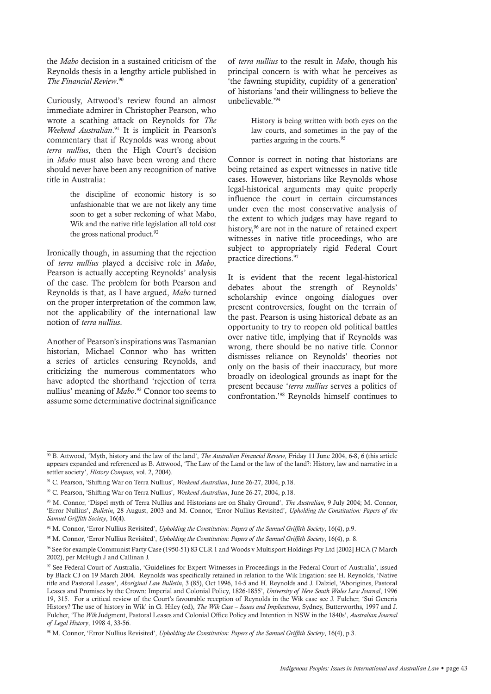the *Mabo* decision in a sustained criticism of the Reynolds thesis in a lengthy article published in *The Financial Review*. 90

Curiously, Attwood's review found an almost immediate admirer in Christopher Pearson, who wrote a scathing attack on Reynolds for *The Weekend Australian*. 91 It is implicit in Pearson's commentary that if Reynolds was wrong about *terra nullius*, then the High Court's decision in *Mabo* must also have been wrong and there should never have been any recognition of native title in Australia:

> the discipline of economic history is so unfashionable that we are not likely any time soon to get a sober reckoning of what Mabo, Wik and the native title legislation all told cost the gross national product*.* 92

Ironically though, in assuming that the rejection of *terra nullius* played a decisive role in *Mabo*, Pearson is actually accepting Reynolds' analysis of the case. The problem for both Pearson and Reynolds is that, as I have argued, *Mabo* turned on the proper interpretation of the common law, not the applicability of the international law notion of *terra nullius*.

Another of Pearson's inspirations was Tasmanian historian, Michael Connor who has written a series of articles censuring Reynolds, and criticizing the numerous commentators who have adopted the shorthand 'rejection of terra nullius' meaning of *Mabo*. 93 Connor too seems to assume some determinative doctrinal significance of *terra nullius* to the result in *Mabo*, though his principal concern is with what he perceives as 'the fawning stupidity, cupidity of a generation' of historians 'and their willingness to believe the unbelievable.'94

> History is being written with both eyes on the law courts, and sometimes in the pay of the parties arguing in the courts*.* 95

Connor is correct in noting that historians are being retained as expert witnesses in native title cases. However, historians like Reynolds whose legal-historical arguments may quite properly influence the court in certain circumstances under even the most conservative analysis of the extent to which judges may have regard to history,<sup>96</sup> are not in the nature of retained expert witnesses in native title proceedings, who are subject to appropriately rigid Federal Court practice directions.97

It is evident that the recent legal-historical debates about the strength of Reynolds' scholarship evince ongoing dialogues over present controversies, fought on the terrain of the past. Pearson is using historical debate as an opportunity to try to reopen old political battles over native title, implying that if Reynolds was wrong, there should be no native title. Connor dismisses reliance on Reynolds' theories not only on the basis of their inaccuracy, but more broadly on ideological grounds as inapt for the present because '*terra nullius* serves a politics of confrontation.'98 Reynolds himself continues to

92 C. Pearson, 'Shifting War on Terra Nullius', *Weekend Australian*, June 26-27, 2004, p.18.

<sup>90</sup> B. Attwood, 'Myth, history and the law of the land', *The Australian Financial Review*, Friday 11 June 2004, 6-8, 6 (this article appears expanded and referenced as B. Attwood, 'The Law of the Land or the law of the land?: History, law and narrative in a settler society', *History Compass*, vol. 2, 2004).

<sup>91</sup> C. Pearson, 'Shifting War on Terra Nullius', *Weekend Australian*, June 26-27, 2004, p.18.

<sup>93</sup> M. Connor, 'Dispel myth of Terra Nullius and Historians are on Shaky Ground', *The Australian*, 9 July 2004; M. Connor, 'Error Nullius', *Bulletin*, 28 August, 2003 and M. Connor, 'Error Nullius Revisited', *Upholding the Constitution: Papers of the Samuel Griffith Society*, 16(4).

<sup>94</sup> M. Connor, 'Error Nullius Revisited', *Upholding the Constitution: Papers of the Samuel Griffith Society*, 16(4), p.9.

<sup>95</sup> M. Connor, 'Error Nullius Revisited', *Upholding the Constitution: Papers of the Samuel Griffith Society*, 16(4), p. 8.

<sup>96</sup> See for example Communist Party Case (1950-51) 83 CLR 1 and Woods v Multisport Holdings Pty Ltd [2002] HCA (7 March 2002), per McHugh J and Callinan J.

<sup>97</sup> See Federal Court of Australia, 'Guidelines for Expert Witnesses in Proceedings in the Federal Court of Australia', issued by Black CJ on 19 March 2004. Reynolds was specifically retained in relation to the Wik litigation: see H. Reynolds, 'Native title and Pastoral Leases', *Aboriginal Law Bulletin*, 3 (85), Oct 1996, 14-5 and H. Reynolds and J. Dalziel, 'Aborigines, Pastoral Leases and Promises by the Crown: Imperial and Colonial Policy, 1826-1855', *University of New South Wales Law Journal*, 1996 19, 315. For a critical review of the Court's favourable reception of Reynolds in the Wik case see J. Fulcher, 'Sui Generis History? The use of history in Wik' in G. Hiley (ed), *The Wik Case – Issues and Implications*, Sydney, Butterworths, 1997 and J. Fulcher, 'The *Wik* Judgment, Pastoral Leases and Colonial Office Policy and Intention in NSW in the 1840s', *Australian Journal of Legal History*, 1998 4, 33-56.

<sup>98</sup> M. Connor, 'Error Nullius Revisited', *Upholding the Constitution: Papers of the Samuel Griffith Society*, 16(4), p.3.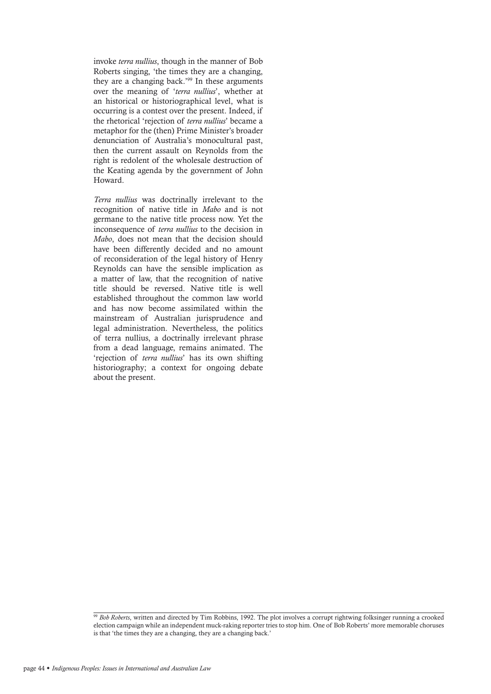invoke *terra nullius*, though in the manner of Bob Roberts singing, 'the times they are a changing, they are a changing back.'99 In these arguments over the meaning of '*terra nullius*', whether at an historical or historiographical level, what is occurring is a contest over the present. Indeed, if the rhetorical 'rejection of *terra nullius*' became a metaphor for the (then) Prime Minister's broader denunciation of Australia's monocultural past, then the current assault on Reynolds from the right is redolent of the wholesale destruction of the Keating agenda by the government of John Howard.

*Terra nullius* was doctrinally irrelevant to the recognition of native title in *Mabo* and is not germane to the native title process now. Yet the inconsequence of *terra nullius* to the decision in *Mabo*, does not mean that the decision should have been differently decided and no amount of reconsideration of the legal history of Henry Reynolds can have the sensible implication as a matter of law, that the recognition of native title should be reversed. Native title is well established throughout the common law world and has now become assimilated within the mainstream of Australian jurisprudence and legal administration. Nevertheless, the politics of terra nullius, a doctrinally irrelevant phrase from a dead language, remains animated. The 'rejection of *terra nullius*' has its own shifting historiography; a context for ongoing debate about the present.

<sup>&</sup>lt;sup>99</sup> Bob Roberts, written and directed by Tim Robbins, 1992. The plot involves a corrupt rightwing folksinger running a crooked election campaign while an independent muck-raking reporter tries to stop him. One of Bob Roberts' more memorable choruses is that 'the times they are a changing, they are a changing back.'